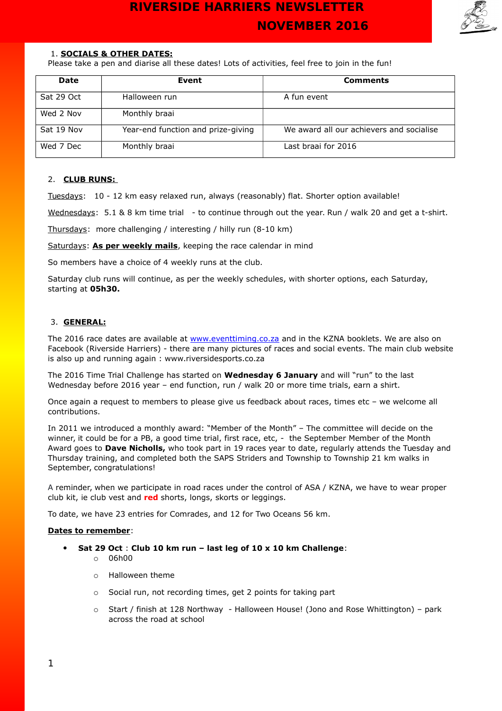

### 1. **SOCIALS & OTHER DATES:**

Please take a pen and diarise all these dates! Lots of activities, feel free to join in the fun!

| <b>Date</b> | Event                              | <b>Comments</b>                          |
|-------------|------------------------------------|------------------------------------------|
| Sat 29 Oct  | Halloween run                      | A fun event                              |
| Wed 2 Nov   | Monthly braai                      |                                          |
| Sat 19 Nov  | Year-end function and prize-giving | We award all our achievers and socialise |
| Wed 7 Dec   | Monthly braai                      | Last braai for 2016                      |

### 2. **CLUB RUNS:**

Tuesdays: 10 - 12 km easy relaxed run, always (reasonably) flat. Shorter option available!

Wednesdays: 5.1 & 8 km time trial - to continue through out the year. Run / walk 20 and get a t-shirt.

Thursdays: more challenging / interesting / hilly run (8-10 km)

Saturdays: **As per weekly mails**, keeping the race calendar in mind

So members have a choice of 4 weekly runs at the club.

Saturday club runs will continue, as per the weekly schedules, with shorter options, each Saturday, starting at **05h30.**

### 3. **GENERAL:**

The 2016 race dates are available at [www.eventtiming.co.za](http://www.eventtiming.co.za/) and in the KZNA booklets. We are also on Facebook (Riverside Harriers) - there are many pictures of races and social events. The main club website is also up and running again : www.riversidesports.co.za

The 2016 Time Trial Challenge has started on **Wednesday 6 January** and will "run" to the last Wednesday before 2016 year – end function, run / walk 20 or more time trials, earn a shirt.

Once again a request to members to please give us feedback about races, times etc – we welcome all contributions.

In 2011 we introduced a monthly award: "Member of the Month" – The committee will decide on the winner, it could be for a PB, a good time trial, first race, etc, - the September Member of the Month Award goes to **Dave Nicholls,** who took part in 19 races year to date, regularly attends the Tuesday and Thursday training, and completed both the SAPS Striders and Township to Township 21 km walks in September, congratulations!

A reminder, when we participate in road races under the control of ASA / KZNA, we have to wear proper club kit, ie club vest and **red** shorts, longs, skorts or leggings.

To date, we have 23 entries for Comrades, and 12 for Two Oceans 56 km.

### **Dates to remember**:

- **Sat 29 Oct** : **Club 10 km run last leg of 10 x 10 km Challenge**:
	- $O$  06h00
	- o Halloween theme
	- o Social run, not recording times, get 2 points for taking part
	- $\circ$  Start / finish at 128 Northway Halloween House! (Jono and Rose Whittington) park across the road at school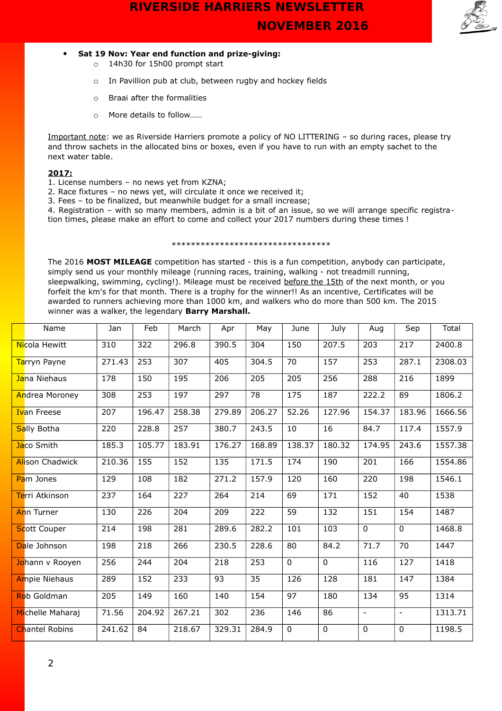

### **Sat 19 Nov: Year end function and prize-giving:**

- o 14h30 for 15h00 prompt start
- o In Pavillion pub at club, between rugby and hockey fields
- o Braai after the formalities
- o More details to follow……

Important note: we as Riverside Harriers promote a policy of NO LITTERING – so during races, please try and throw sachets in the allocated bins or boxes, even if you have to run with an empty sachet to the next water table.

### **2017:**

- 1. License numbers no news yet from KZNA;
- 2. Race fixtures no news yet, will circulate it once we received it;
- 3. Fees to be finalized, but meanwhile budget for a small increase;

4. Registration – with so many members, admin is a bit of an issue, so we will arrange specific registration times, please make an effort to come and collect your 2017 numbers during these times !

### \*\*\*\*\*\*\*\*\*\*\*\*\*\*\*\*\*\*\*\*\*\*\*\*\*\*\*\*\*\*\*\*\*

The 2016 **MOST MILEAGE** competition has started - this is a fun competition, anybody can participate, simply send us your monthly mileage (running races, training, walking - not treadmill running, sleepwalking, swimming, cycling!). Mileage must be received before the 15th of the next month, or you forfeit the km's for that month. There is a trophy for the winner!! As an incentive, Certificates will be awarded to runners achieving more than 1000 km, and walkers who do more than 500 km. The 2015 winner was a walker, the legendary **Barry Marshall.**

| Name                   | Jan    | Feb    | March  | Apr    | May    | June        | July        | Aug                      | Sep             | Total   |
|------------------------|--------|--------|--------|--------|--------|-------------|-------------|--------------------------|-----------------|---------|
| Nicola Hewitt          | 310    | 322    | 296.8  | 390.5  | 304    | 150         | 207.5       | 203                      | 217             | 2400.8  |
| Tarryn Payne           | 271.43 | 253    | 307    | 405    | 304.5  | 70          | 157         | 253                      | 287.1           | 2308.03 |
| Jana Niehaus           | 178    | 150    | 195    | 206    | 205    | 205         | 256         | 288                      | 216             | 1899    |
| Andrea Moroney         | 308    | 253    | 197    | 297    | 78     | 175         | 187         | 222.2                    | 89              | 1806.2  |
| <b>Ivan Freese</b>     | 207    | 196.47 | 258.38 | 279.89 | 206.27 | 52.26       | 127.96      | 154.37                   | 183.96          | 1666.56 |
| Sally Botha            | 220    | 228.8  | 257    | 380.7  | 243.5  | 10          | 16          | 84.7                     | 117.4           | 1557.9  |
| Jaco Smith             | 185.3  | 105.77 | 183.91 | 176.27 | 168.89 | 138.37      | 180.32      | 174.95                   | 243.6           | 1557.38 |
| <b>Alison Chadwick</b> | 210.36 | 155    | 152    | 135    | 171.5  | 174         | 190         | 201                      | 166             | 1554.86 |
| Pam Jones              | 129    | 108    | 182    | 271.2  | 157.9  | 120         | 160         | 220                      | 198             | 1546.1  |
| Terri Atkinson         | 237    | 164    | 227    | 264    | 214    | 69          | 171         | 152                      | 40              | 1538    |
| <b>Ann Turner</b>      | 130    | 226    | 204    | 209    | 222    | 59          | 132         | 151                      | 154             | 1487    |
| <b>Scott Couper</b>    | 214    | 198    | 281    | 289.6  | 282.2  | 101         | 103         | 0                        | $\mathbf 0$     | 1468.8  |
| Dale Johnson           | 198    | 218    | 266    | 230.5  | 228.6  | 80          | 84.2        | 71.7                     | 70              | 1447    |
| Johann v Rooyen        | 256    | 244    | 204    | 218    | 253    | $\mathbf 0$ | $\mathbf 0$ | 116                      | 127             | 1418    |
| <b>Ampie Niehaus</b>   | 289    | 152    | 233    | 93     | 35     | 126         | 128         | 181                      | 147             | 1384    |
| Rob Goldman            | 205    | 149    | 160    | 140    | 154    | 97          | 180         | 134                      | $\overline{95}$ | 1314    |
| Michelle Maharaj       | 71.56  | 204.92 | 267.21 | 302    | 236    | 146         | 86          | $\overline{\phantom{a}}$ | $\blacksquare$  | 1313.71 |
| <b>Chantel Robins</b>  | 241.62 | 84     | 218.67 | 329.31 | 284.9  | $\mathbf 0$ | $\mathbf 0$ | 0                        | $\mathbf 0$     | 1198.5  |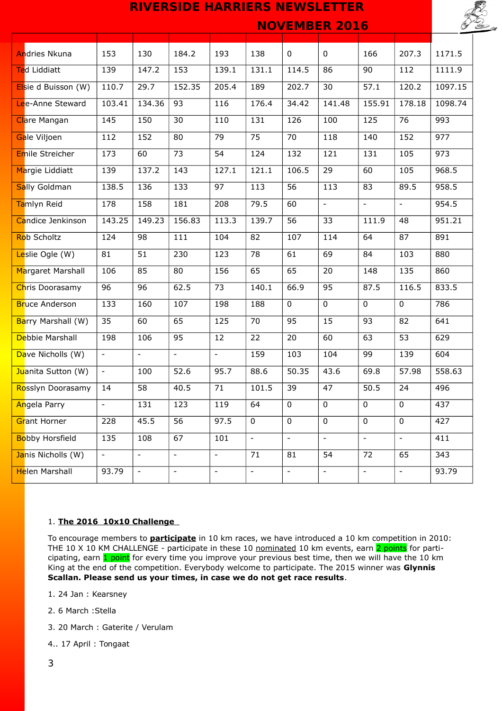

 **NOVEMBER 2016** 

| <b>Andries Nkuna</b>   | 153                      | 130                      | 184.2                    | 193                      | 138                      | 0                        | $\mathbf{0}$             | 166                      | 207.3                    | 1171.5  |
|------------------------|--------------------------|--------------------------|--------------------------|--------------------------|--------------------------|--------------------------|--------------------------|--------------------------|--------------------------|---------|
| Ted Liddiatt           | 139                      | 147.2                    | 153                      | 139.1                    | 131.1                    | 114.5                    | 86                       | 90                       | 112                      | 1111.9  |
| Elsie d Buisson (W)    | 110.7                    | 29.7                     | 152.35                   | 205.4                    | 189                      | 202.7                    | 30                       | 57.1                     | 120.2                    | 1097.15 |
| Lee-Anne Steward       | 103.41                   | 134.36                   | 93                       | 116                      | 176.4                    | 34.42                    | 141.48                   | 155.91                   | 178.18                   | 1098.74 |
| <b>Clare Mangan</b>    | 145                      | 150                      | 30                       | 110                      | 131                      | 126                      | 100                      | 125                      | 76                       | 993     |
| Gale Viljoen           | 112                      | 152                      | 80                       | 79                       | 75                       | 70                       | 118                      | 140                      | 152                      | 977     |
| Emile Streicher        | 173                      | 60                       | 73                       | 54                       | 124                      | 132                      | 121                      | 131                      | 105                      | 973     |
| Margie Liddiatt        | 139                      | 137.2                    | 143                      | 127.1                    | 121.1                    | 106.5                    | 29                       | 60                       | 105                      | 968.5   |
| <b>Sally Goldman</b>   | 138.5                    | 136                      | 133                      | 97                       | 113                      | $\overline{56}$          | 113                      | 83                       | 89.5                     | 958.5   |
| Tamlyn Reid            | 178                      | 158                      | 181                      | 208                      | 79.5                     | 60                       | $\overline{\phantom{a}}$ | $\overline{\phantom{a}}$ | $\overline{\phantom{a}}$ | 954.5   |
| Candice Jenkinson      | 143.25                   | 149.23                   | 156.83                   | 113.3                    | 139.7                    | 56                       | 33                       | 111.9                    | 48                       | 951.21  |
| Rob Scholtz            | 124                      | 98                       | 111                      | 104                      | 82                       | 107                      | 114                      | 64                       | 87                       | 891     |
| Leslie Ogle (W)        | 81                       | 51                       | 230                      | 123                      | 78                       | 61                       | 69                       | 84                       | 103                      | 880     |
| Margaret Marshall      | 106                      | 85                       | 80                       | 156                      | 65                       | 65                       | 20                       | 148                      | 135                      | 860     |
| Chris Doorasamy        | 96                       | 96                       | 62.5                     | 73                       | 140.1                    | 66.9                     | 95                       | 87.5                     | 116.5                    | 833.5   |
| <b>Bruce Anderson</b>  | 133                      | 160                      | 107                      | 198                      | 188                      | $\overline{0}$           | $\overline{0}$           | $\mathbf{0}$             | $\Omega$                 | 786     |
| Barry Marshall (W)     | 35                       | 60                       | 65                       | 125                      | 70                       | 95                       | 15                       | 93                       | 82                       | 641     |
| Debbie Marshall        | 198                      | 106                      | 95                       | 12                       | 22                       | 20                       | 60                       | 63                       | 53                       | 629     |
| Dave Nicholls (W)      | $\overline{\phantom{a}}$ | L,                       | $\overline{\phantom{a}}$ | $\overline{\phantom{0}}$ | 159                      | 103                      | 104                      | 99                       | 139                      | 604     |
| Juanita Sutton (W)     | $\blacksquare$           | 100                      | 52.6                     | 95.7                     | 88.6                     | 50.35                    | 43.6                     | 69.8                     | 57.98                    | 558.63  |
| Rosslyn Doorasamy      | 14                       | 58                       | 40.5                     | 71                       | 101.5                    | 39                       | 47                       | 50.5                     | 24                       | 496     |
| <b>Angela Parry</b>    | $\overline{\phantom{a}}$ | 131                      | 123                      | 119                      | 64                       | $\mathbf 0$              | $\overline{0}$           | $\mathbf 0$              | $\mathbf 0$              | 437     |
| Grant Horner           | 228                      | 45.5                     | 56                       | 97.5                     | $\mathbf 0$              | $\mathbf 0$              | $\mathbf 0$              | $\mathbf 0$              | $\mathbf 0$              | 427     |
| <b>Bobby Horsfield</b> | 135                      | 108                      | 67                       | 101                      | $\overline{\phantom{a}}$ | $\overline{\phantom{a}}$ | $\overline{\phantom{a}}$ | $\overline{\phantom{a}}$ | $\overline{\phantom{0}}$ | 411     |
| Janis Nicholls (W)     | $\blacksquare$           | $\overline{\phantom{a}}$ | $\Box$                   | $\overline{\phantom{a}}$ | 71                       | 81                       | $\overline{54}$          | $\overline{72}$          | 65                       | 343     |
| Helen Marshall         | 93.79                    | $\overline{\phantom{a}}$ | $\blacksquare$           | $\overline{\phantom{0}}$ | $\overline{\phantom{a}}$ | $\overline{\phantom{a}}$ | $\overline{\phantom{a}}$ | $\Box$                   | $\overline{\phantom{0}}$ | 93.79   |

### 1. **The 2016 10x10 Challenge**

To encourage members to **participate** in 10 km races, we have introduced a 10 km competition in 2010: THE 10 X 10 KM CHALLENGE - participate in these 10 nominated 10 km events, earn 2 points for participating, earn 1 point for every time you improve your previous best time, then we will have the 10 km King at the end of the competition. Everybody welcome to participate. The 2015 winner was **Glynnis Scallan. Please send us your times, in case we do not get race results**.

- 1. 24 Jan : Kearsney
- 2. 6 March :Stella
- 3. 20 March : Gaterite / Verulam
- 4.. 17 April : Tongaat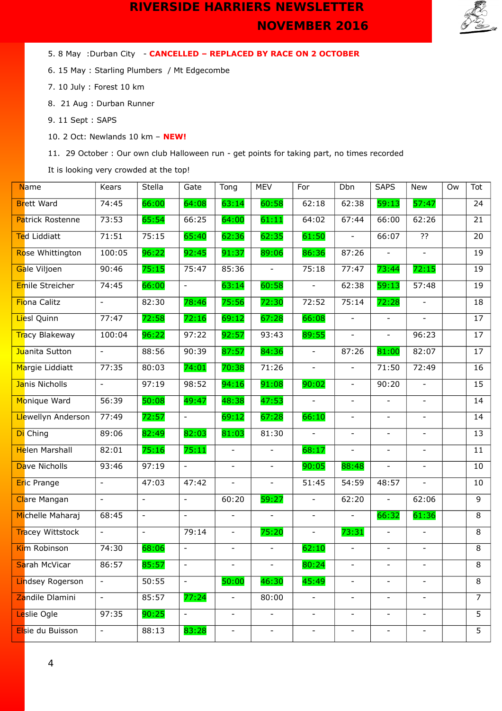

5. 8 May :Durban City - **CANCELLED – REPLACED BY RACE ON 2 OCTOBER**

6. 15 May : Starling Plumbers / Mt Edgecombe

7. 10 July : Forest 10 km

8. 21 Aug : Durban Runner

9. 11 Sept : SAPS

10. 2 Oct: Newlands 10 km – **NEW!**

11. 29 October : Our own club Halloween run - get points for taking part, no times recorded

It is looking very crowded at the top!

| <b>N</b> ame            | Kears                    | Stella                   | Gate                     | Tong                     | <b>MEV</b>               | For                      | Dbn                      | <b>SAPS</b>                 | New                      | Ow | Tot            |
|-------------------------|--------------------------|--------------------------|--------------------------|--------------------------|--------------------------|--------------------------|--------------------------|-----------------------------|--------------------------|----|----------------|
| <b>Brett Ward</b>       | 74:45                    | 66:00                    | 64:08                    | 63:14                    | 60:58                    | 62:18                    | 62:38                    | 59:13                       | 57:47                    |    | 24             |
| Patrick Rostenne        | 73:53                    | 65:54                    | 66:25                    | 64:00                    | 61:11                    | 64:02                    | 67:44                    | 66:00                       | 62:26                    |    | 21             |
| Ted Liddiatt            | 71:51                    | 75:15                    | 65:40                    | 62:36                    | 62:35                    | 61:50                    |                          | 66:07                       | ??                       |    | 20             |
| Rose Whittington        | 100:05                   | 96:22                    | 92:45                    | 91:37                    | 89:06                    | 86:36                    | 87:26                    | $\overline{\phantom{a}}$    | $\overline{\phantom{a}}$ |    | 19             |
| Gale Viljoen            | 90:46                    | 75:15                    | 75:47                    | 85:36                    | $\overline{\phantom{a}}$ | 75:18                    | 77:47                    | 73:44                       | 72:15                    |    | 19             |
| Emile Streicher         | 74:45                    | 66:00                    | $\overline{\phantom{a}}$ | 63:14                    | 60:58                    | $\blacksquare$           | 62:38                    | 59:13                       | 57:48                    |    | 19             |
| Fiona Calitz            |                          | 82:30                    | 78:46                    | 75:56                    | 72:30                    | 72:52                    | 75:14                    | 72:28                       |                          |    | 18             |
| Liesl Quinn             | 77:47                    | 72:58                    | 72:16                    | 69:12                    | 67:28                    | 66:08                    | $\overline{\phantom{a}}$ | $\overline{\phantom{a}}$    | $\overline{\phantom{a}}$ |    | 17             |
| Tracy Blakeway          | 100:04                   | 96:22                    | 97:22                    | 92:57                    | 93:43                    | 89:55                    | $\overline{\phantom{a}}$ | $\overline{\phantom{a}}$    | 96:23                    |    | 17             |
| Juanita Sutton          | $\blacksquare$           | 88:56                    | 90:39                    | 87:57                    | 84:36                    | $\equiv$                 | 87:26                    | 81:00                       | 82:07                    |    | 17             |
| Margie Liddiatt         | 77:35                    | 80:03                    | 74:01                    | 70:38                    | 71:26                    | $\blacksquare$           | $\blacksquare$           | 71:50                       | 72:49                    |    | 16             |
| Janis Nicholls          | $ \,$                    | 97:19                    | 98:52                    | 94:16                    | 91:08                    | 90:02                    | $\overline{\phantom{a}}$ | 90:20                       | $\overline{\phantom{a}}$ |    | 15             |
| Monique Ward            | 56:39                    | 50:08                    | 49:47                    | 48:38                    | 47:53                    | $\blacksquare$           | $\overline{\phantom{a}}$ | $\overline{\phantom{a}}$    | $\overline{\phantom{a}}$ |    | 14             |
| Llewellyn Anderson      | 77:49                    | 72:57                    | $\overline{\phantom{a}}$ | 69:12                    | 67:28                    | 66:10                    | $\blacksquare$           | $\mathcal{L}^{\mathcal{A}}$ | $\blacksquare$           |    | 14             |
| Di Ching                | 89:06                    | 82:49                    | 82:03                    | 81:03                    | 81:30                    | $\equiv$                 |                          |                             |                          |    | 13             |
| Helen Marshall          | 82:01                    | 75:16                    | 75:11                    | $\overline{\phantom{a}}$ | $\overline{\phantom{a}}$ | 68:17                    | $\overline{\phantom{a}}$ | $\overline{\phantom{a}}$    | $\overline{\phantom{a}}$ |    | 11             |
| Dave Nicholls           | 93:46                    | 97:19                    | $\overline{\phantom{a}}$ | $\blacksquare$           | $\overline{\phantom{a}}$ | 90:05                    | 88:48                    | $\overline{\phantom{a}}$    | $\overline{\phantom{a}}$ |    | 10             |
| <b>Eric Prange</b>      | $\overline{\phantom{a}}$ | 47:03                    | 47:42                    | $\overline{\phantom{a}}$ | $\blacksquare$           | 51:45                    | 54:59                    | 48:57                       | $\overline{\phantom{a}}$ |    | 10             |
| Clare Mangan            | $\blacksquare$           | $\overline{a}$           | $\blacksquare$           | 60:20                    | 59:27                    | $\overline{a}$           | 62:20                    | $\overline{\phantom{0}}$    | 62:06                    |    | $\overline{9}$ |
| Michelle Maharaj        | 68:45                    | $\overline{\phantom{a}}$ | $\overline{\phantom{a}}$ | $\overline{\phantom{a}}$ | $\overline{\phantom{a}}$ | $\blacksquare$           | $\overline{\phantom{a}}$ | 66:32                       | 61:36                    |    | 8              |
| <b>Tracey Wittstock</b> | $\overline{\phantom{a}}$ | $\overline{\phantom{a}}$ | 79:14                    | $\overline{\phantom{a}}$ | 75:20                    | $\overline{\phantom{a}}$ | 73:31                    | $\overline{\phantom{a}}$    | $\overline{\phantom{a}}$ |    | 8              |
| Kim Robinson            | 74:30                    | 68:06                    | $\overline{\phantom{a}}$ | $\overline{\phantom{a}}$ | $\overline{\phantom{a}}$ | 62:10                    | $\overline{\phantom{a}}$ | $\overline{\phantom{a}}$    | $\overline{\phantom{a}}$ |    | $\overline{8}$ |
| Sarah McVicar           | 86:57                    | 85:57                    | $\overline{\phantom{a}}$ |                          |                          | 80:24                    |                          |                             |                          |    | 8              |
| <b>Lindsey Rogerson</b> | $\overline{\phantom{a}}$ | 50:55                    | $\overline{\phantom{a}}$ | 50:00                    | 46:30                    | 45:49                    | $\overline{\phantom{a}}$ | $\overline{\phantom{0}}$    | $\overline{\phantom{a}}$ |    | 8              |
| Zandile Dlamini         | $\overline{\phantom{a}}$ | 85:57                    | 77:24                    |                          | 80:00                    | $\overline{\phantom{a}}$ | $\overline{\phantom{a}}$ | $\overline{\phantom{a}}$    | $\overline{\phantom{a}}$ |    | 7 <sup>1</sup> |
| Leslie Ogle             | 97:35                    | 90:25                    | $\overline{\phantom{a}}$ | $\overline{\phantom{a}}$ | $\overline{\phantom{a}}$ | $\overline{\phantom{a}}$ | $\overline{\phantom{a}}$ | $\overline{\phantom{a}}$    | $\overline{\phantom{a}}$ |    | 5 <sup>7</sup> |
| Elsie du Buisson        |                          | 88:13                    | 83:28                    |                          |                          |                          |                          |                             |                          |    | 5              |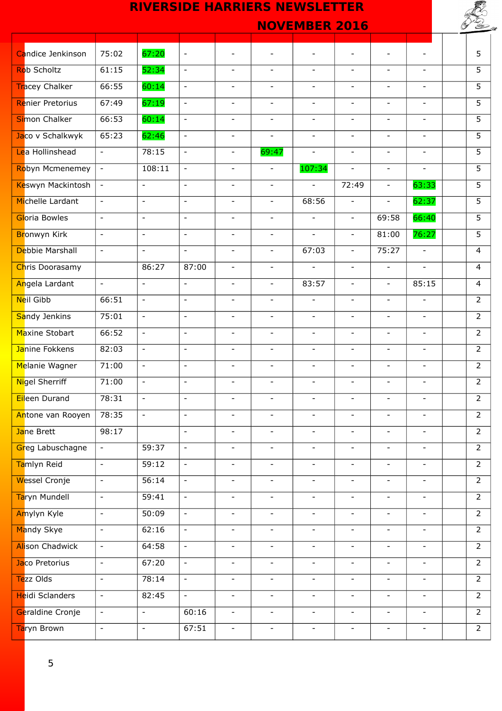|                          |                          | <b>RIVERSIDE HARRIERS NEWSLETTER</b> |                          |                          |                          |                          |                          |                          |                          |                |
|--------------------------|--------------------------|--------------------------------------|--------------------------|--------------------------|--------------------------|--------------------------|--------------------------|--------------------------|--------------------------|----------------|
|                          |                          |                                      |                          |                          |                          | <b>NOVEMBER 2016</b>     |                          |                          |                          |                |
|                          |                          |                                      |                          |                          |                          |                          |                          |                          |                          |                |
| Candice Jenkinson        | 75:02                    | 67:20                                | $\overline{\phantom{a}}$ |                          |                          |                          |                          |                          |                          | 5              |
| <b>Rob Scholtz</b>       | 61:15                    | 52:34                                | $\blacksquare$           |                          |                          | $\overline{\phantom{0}}$ |                          | $\overline{\phantom{a}}$ |                          | 5              |
| <b>Tracey Chalker</b>    | 66:55                    | 60:14                                | $\overline{\phantom{a}}$ | $\blacksquare$           | $\blacksquare$           | $\overline{\phantom{a}}$ | $\blacksquare$           | $\overline{\phantom{a}}$ | $\overline{\phantom{a}}$ | 5              |
| <b>Renier Pretorius</b>  | 67:49                    | 67:19                                | $\overline{\phantom{a}}$ | $\overline{\phantom{a}}$ | $\blacksquare$           | $\overline{\phantom{a}}$ | $\overline{\phantom{a}}$ | $\overline{\phantom{a}}$ | $\blacksquare$           | 5              |
| <b>Si</b> mon Chalker    | 66:53                    | 60:14                                | $\equiv$                 | $\overline{\phantom{a}}$ | $\blacksquare$           | $\overline{\phantom{a}}$ | $\blacksquare$           | $\blacksquare$           | $\blacksquare$           | $\overline{5}$ |
| Jaco v Schalkwyk         | 65:23                    | 62:46                                | $\blacksquare$           | $\blacksquare$           | $\blacksquare$           | $\overline{a}$           | $\overline{\phantom{a}}$ | $\blacksquare$           |                          | 5              |
| Lea Hollinshead          | $\blacksquare$           | 78:15                                | $\overline{\phantom{a}}$ | $\overline{\phantom{a}}$ | 69:47                    | $\overline{\phantom{a}}$ | $\overline{\phantom{a}}$ | $\blacksquare$           | $\overline{\phantom{a}}$ | $\overline{5}$ |
| Robyn Mcmenemey          | $\blacksquare$           | 108:11                               | $\overline{\phantom{a}}$ | $\overline{\phantom{a}}$ | $\overline{\phantom{a}}$ | 107:34                   | $\overline{\phantom{a}}$ | $\overline{\phantom{a}}$ | $\blacksquare$           | $\overline{5}$ |
| <b>Keswyn Mackintosh</b> | $\blacksquare$           | $\blacksquare$                       | $\equiv$                 | $\overline{\phantom{a}}$ | $\blacksquare$           | $\blacksquare$           | 72:49                    | $\blacksquare$           | 63:33                    | $\overline{5}$ |
| Michelle Lardant         | $\overline{\phantom{a}}$ | $\overline{\phantom{a}}$             | $\blacksquare$           | $\overline{\phantom{a}}$ | $\overline{\phantom{a}}$ | 68:56                    | $\blacksquare$           | $\overline{\phantom{a}}$ | 62:37                    | $\overline{5}$ |
| Gloria Bowles            | $\overline{\phantom{a}}$ | $\overline{\phantom{a}}$             | $\overline{\phantom{a}}$ | $\overline{\phantom{a}}$ | $\overline{\phantom{a}}$ | $\overline{\phantom{a}}$ | $\overline{\phantom{a}}$ | 69:58                    | 66:40                    | $\overline{5}$ |
| Bronwyn Kirk             | $\overline{\phantom{a}}$ | $\overline{\phantom{a}}$             | $\overline{\phantom{a}}$ | $\overline{\phantom{a}}$ | $\overline{\phantom{a}}$ | $\overline{\phantom{a}}$ | $\overline{\phantom{a}}$ | 81:00                    | 76:27                    | 5              |
| Debbie Marshall          | $\omega$                 | $\overline{\phantom{a}}$             | $\equiv$                 | $\overline{\phantom{a}}$ | $\overline{\phantom{a}}$ | 67:03                    | $\overline{\phantom{a}}$ | 75:27                    | $\overline{\phantom{a}}$ | 4              |
| Chris Doorasamy          |                          | 86:27                                | 87:00                    |                          |                          |                          | $\overline{\phantom{a}}$ | $\overline{\phantom{a}}$ |                          | $\overline{4}$ |
| Angela Lardant           | $\equiv$                 | $\blacksquare$                       | $\Box$                   | $\overline{\phantom{a}}$ | $\overline{\phantom{a}}$ | 83:57                    | $\overline{\phantom{a}}$ | $\overline{\phantom{a}}$ | 85:15                    | 4              |
| <b>Neil Gibb</b>         | 66:51                    | $\overline{\phantom{a}}$             | $\overline{\phantom{a}}$ | $\overline{\phantom{a}}$ | $\overline{\phantom{a}}$ | $\overline{\phantom{a}}$ | $\overline{\phantom{a}}$ | $\overline{\phantom{a}}$ | $\overline{\phantom{a}}$ | $\overline{2}$ |
| Sandy Jenkins            | 75:01                    | $\equiv$                             | $\Box$                   | $\overline{\phantom{a}}$ | $\overline{\phantom{a}}$ | $\overline{\phantom{a}}$ | $\overline{\phantom{a}}$ | $\overline{\phantom{a}}$ | $\overline{\phantom{a}}$ | $\overline{2}$ |
| Maxine Stobart           | 66:52                    | $\mathcal{L}$                        | $\blacksquare$           | $\overline{\phantom{a}}$ | $\overline{\phantom{a}}$ | $\overline{\phantom{a}}$ | $\blacksquare$           | $\overline{\phantom{a}}$ | $\overline{\phantom{a}}$ | $\overline{2}$ |
| Janine Fokkens           | 82:03                    | $\blacksquare$                       | $\overline{\phantom{a}}$ | $\overline{\phantom{a}}$ | $\overline{\phantom{a}}$ | $\overline{\phantom{a}}$ | $\overline{\phantom{a}}$ | $\overline{\phantom{a}}$ | $\overline{\phantom{a}}$ | $\overline{2}$ |
| Melanie Wagner           | 71:00                    | $\sim$                               | $\overline{\phantom{a}}$ | $\overline{\phantom{a}}$ | $\overline{\phantom{a}}$ | $\overline{\phantom{a}}$ | $\overline{\phantom{a}}$ | $\overline{\phantom{a}}$ | $\overline{\phantom{a}}$ | $\overline{2}$ |
| Nigel Sherriff           | 71:00                    | $\qquad \qquad \blacksquare$         | $\overline{\phantom{a}}$ | $\overline{\phantom{a}}$ | $\qquad \qquad -$        |                          | $\overline{\phantom{a}}$ | $\overline{\phantom{a}}$ | $\overline{\phantom{a}}$ | $\overline{2}$ |
| Eileen Durand            | 78:31                    | $\equiv$                             | $\equiv$                 | $\overline{\phantom{a}}$ | $\overline{\phantom{a}}$ | $\overline{\phantom{0}}$ | $\blacksquare$           | $\blacksquare$           | $\overline{\phantom{a}}$ | $2^{\circ}$    |
| Antone van Rooyen        | 78:35                    | $\blacksquare$                       | $\overline{\phantom{a}}$ | $\overline{\phantom{a}}$ | $\overline{\phantom{a}}$ | $\overline{\phantom{a}}$ | $\overline{\phantom{a}}$ | $\overline{\phantom{a}}$ | $\overline{\phantom{a}}$ | $\overline{2}$ |
| Jane Brett               | 98:17                    |                                      | $\overline{\phantom{a}}$ | $\overline{\phantom{a}}$ | $\overline{\phantom{a}}$ | $\overline{\phantom{a}}$ | $\overline{\phantom{a}}$ | $\overline{\phantom{a}}$ | $\overline{\phantom{a}}$ | $\overline{2}$ |
| Greg Labuschagne         | $\overline{\phantom{a}}$ | 59:37                                | $\overline{\phantom{a}}$ | $\overline{\phantom{a}}$ | $\overline{\phantom{a}}$ | $\overline{\phantom{a}}$ | $\overline{\phantom{a}}$ | $\overline{\phantom{a}}$ | $\overline{\phantom{a}}$ | $\overline{2}$ |
| Tamlyn Reid              | $\equiv$                 | 59:12                                | $\overline{\phantom{a}}$ | $\overline{\phantom{a}}$ | $\blacksquare$           | $\overline{\phantom{a}}$ | $\overline{\phantom{a}}$ | $\overline{\phantom{a}}$ | $\overline{\phantom{a}}$ | $\overline{2}$ |
| <b>Wessel Cronje</b>     | $\overline{\phantom{a}}$ | 56:14                                | $\overline{\phantom{a}}$ | $\overline{\phantom{a}}$ | $\overline{\phantom{a}}$ | $\overline{\phantom{0}}$ |                          | $\overline{\phantom{a}}$ | $\overline{\phantom{a}}$ | $2^{\circ}$    |
| Taryn Mundell            | $\blacksquare$           | 59:41                                | $\overline{\phantom{a}}$ | $\overline{\phantom{a}}$ | $\overline{\phantom{a}}$ | $\overline{\phantom{a}}$ | $\blacksquare$           | $\overline{\phantom{a}}$ | $\overline{\phantom{a}}$ | $\overline{2}$ |
| Amylyn Kyle              | $\overline{\phantom{a}}$ | 50:09                                | $\overline{\phantom{a}}$ | $\overline{\phantom{a}}$ | $\overline{\phantom{a}}$ | $\overline{\phantom{a}}$ | $\overline{\phantom{a}}$ | $\overline{\phantom{a}}$ | $\overline{\phantom{a}}$ | $\overline{2}$ |
| Mandy Skye               | $\blacksquare$           | 62:16                                | $\Box$                   | $\overline{\phantom{a}}$ | $\overline{\phantom{a}}$ | $\overline{\phantom{a}}$ | $\equiv$                 | $\overline{\phantom{0}}$ | $\overline{\phantom{a}}$ | $\overline{2}$ |
| <b>Alison Chadwick</b>   | $\overline{\phantom{a}}$ | 64:58                                | $\overline{\phantom{a}}$ | $\overline{\phantom{a}}$ | $\overline{\phantom{a}}$ | $\overline{\phantom{0}}$ | $\overline{\phantom{a}}$ | $\overline{\phantom{a}}$ | $\overline{\phantom{a}}$ | $2^{\circ}$    |
| Jaco Pretorius           | $\overline{\phantom{a}}$ | 67:20                                | $\overline{\phantom{a}}$ | $\overline{\phantom{a}}$ | $\overline{\phantom{a}}$ | $\overline{\phantom{a}}$ | $\overline{\phantom{a}}$ | $\overline{\phantom{0}}$ | $\overline{\phantom{a}}$ | $\overline{2}$ |
| Tezz Olds                | $\overline{\phantom{a}}$ | 78:14                                | $\overline{\phantom{a}}$ | $\overline{\phantom{a}}$ | $\overline{\phantom{a}}$ | $\overline{\phantom{a}}$ | $\overline{\phantom{a}}$ | $\overline{\phantom{0}}$ | $\overline{\phantom{a}}$ | $\overline{2}$ |
| <b>Heidi Sclanders</b>   | $\overline{\phantom{a}}$ | 82:45                                | $\blacksquare$           | $\overline{\phantom{a}}$ | $\blacksquare$           | $\overline{\phantom{a}}$ | $\overline{\phantom{a}}$ | $\overline{\phantom{0}}$ | $\blacksquare$           | $\overline{2}$ |
| Geraldine Cronje         | $\overline{\phantom{a}}$ | $\blacksquare$                       | 60:16                    | $\overline{\phantom{a}}$ | $\overline{\phantom{a}}$ | $\overline{\phantom{a}}$ | $\overline{\phantom{a}}$ | $\overline{\phantom{a}}$ | $\overline{\phantom{a}}$ | $2^{\circ}$    |
| Taryn Brown              | $\pm$                    | $\blacksquare$                       | 67:51                    | $\overline{\phantom{a}}$ | $\overline{\phantom{a}}$ | $\overline{\phantom{a}}$ | $\overline{\phantom{a}}$ | $\overline{\phantom{a}}$ | $\overline{\phantom{a}}$ | $2^{\circ}$    |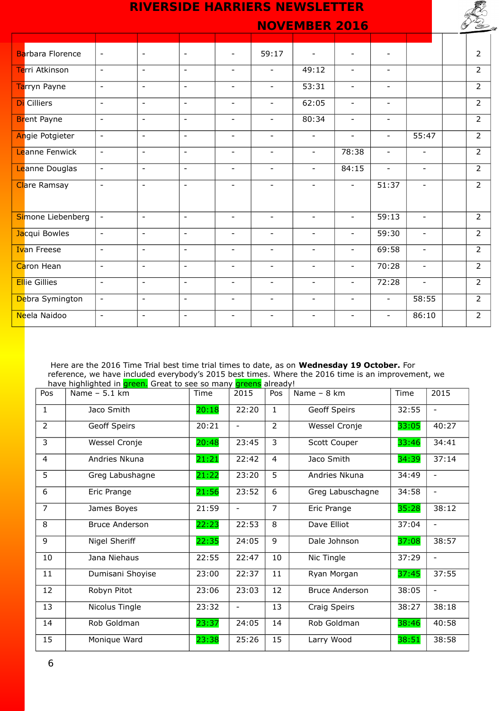| <b>RIVERSIDE HARRIERS NEWSLETTER</b> |                          |                          |                          |                          |                          |                          |                          |                          |                          |  |                |
|--------------------------------------|--------------------------|--------------------------|--------------------------|--------------------------|--------------------------|--------------------------|--------------------------|--------------------------|--------------------------|--|----------------|
|                                      |                          |                          |                          |                          |                          | <b>NOVEMBER 2016</b>     |                          |                          |                          |  |                |
|                                      |                          |                          |                          |                          |                          |                          |                          |                          |                          |  |                |
| <b>Barbara Florence</b>              | $\overline{\phantom{a}}$ | $\overline{\phantom{a}}$ | $\overline{\phantom{a}}$ |                          | 59:17                    |                          |                          |                          |                          |  | $\overline{2}$ |
| Terri Atkinson                       | $\sim$                   | $\overline{\phantom{a}}$ | $\overline{\phantom{a}}$ | $\overline{\phantom{a}}$ | $\blacksquare$           | 49:12                    | $\overline{\phantom{a}}$ | ۰                        |                          |  | $\overline{2}$ |
| Tarryn Payne                         | $\blacksquare$           | $\blacksquare$           | $\blacksquare$           | $\overline{\phantom{a}}$ | $\blacksquare$           | 53:31                    | $\overline{\phantom{a}}$ | $\overline{\phantom{a}}$ |                          |  | $\overline{2}$ |
| <b>Di</b> Cilliers                   | $\equiv$                 | $\blacksquare$           | $\blacksquare$           | $\blacksquare$           | $\blacksquare$           | 62:05                    | $\blacksquare$           | $\equiv$                 |                          |  | $\overline{2}$ |
| <b>Brent Payne</b>                   | $\blacksquare$           | $\overline{\phantom{a}}$ | $\overline{\phantom{a}}$ | $\overline{\phantom{a}}$ | $\overline{\phantom{a}}$ | 80:34                    | $\overline{\phantom{a}}$ | $\overline{\phantom{a}}$ |                          |  | $\overline{2}$ |
| Angie Potgieter                      | $\blacksquare$           | $\blacksquare$           | $\blacksquare$           | $\overline{\phantom{a}}$ | $\overline{\phantom{a}}$ | $\blacksquare$           | $\blacksquare$           | $\blacksquare$           | 55:47                    |  | $\overline{2}$ |
| <b>Leanne Fenwick</b>                | $\blacksquare$           | $\overline{\phantom{a}}$ | $\blacksquare$           | $\blacksquare$           | $\blacksquare$           | $\blacksquare$           | 78:38                    | $\blacksquare$           |                          |  | $\overline{2}$ |
| Leanne Douglas                       | $\blacksquare$           | $\blacksquare$           | $\blacksquare$           | $\blacksquare$           | $\overline{\phantom{a}}$ | $\blacksquare$           | 84:15                    | $\overline{\phantom{a}}$ | $\overline{\phantom{a}}$ |  | $\overline{2}$ |
| <b>Clare Ramsay</b>                  | $\blacksquare$           | $\overline{\phantom{a}}$ | $\blacksquare$           | $-$                      | $\blacksquare$           | $\overline{\phantom{a}}$ | $\overline{\phantom{a}}$ | 51:37                    | $\overline{\phantom{a}}$ |  | $\overline{2}$ |
| Simone Liebenberg                    | $\blacksquare$           | $\blacksquare$           | $\blacksquare$           | $\blacksquare$           | $\blacksquare$           | $\overline{a}$           | $\overline{\phantom{a}}$ | 59:13                    | $\blacksquare$           |  | $\overline{2}$ |
| Jacqui Bowles                        | $\omega$                 | $\blacksquare$           | $\sim$                   | $\blacksquare$           | $\blacksquare$           | $\blacksquare$           | $\overline{\phantom{a}}$ | 59:30                    | $\overline{\phantom{a}}$ |  | $\overline{2}$ |
| <b>Ivan Freese</b>                   | $\blacksquare$           | $\overline{\phantom{a}}$ | $\overline{\phantom{a}}$ | $\overline{\phantom{a}}$ | $\overline{\phantom{a}}$ | $\overline{\phantom{a}}$ | $\overline{\phantom{a}}$ | 69:58                    | $\overline{\phantom{a}}$ |  | $\overline{2}$ |
| Caron Hean                           | $\overline{\phantom{a}}$ | $\overline{\phantom{a}}$ | $\blacksquare$           | $\overline{\phantom{a}}$ | $\overline{\phantom{a}}$ | $\overline{\phantom{a}}$ | $\overline{\phantom{a}}$ | 70:28                    | $\overline{\phantom{a}}$ |  | $\overline{2}$ |
| <b>Ellie Gillies</b>                 | $\sim$                   | $\overline{\phantom{a}}$ | $\blacksquare$           | $\blacksquare$           | $\blacksquare$           | $\overline{\phantom{a}}$ | $\overline{\phantom{a}}$ | 72:28                    | $\overline{a}$           |  | $\overline{2}$ |
| Debra Symington                      | $\overline{\phantom{a}}$ | $\overline{\phantom{a}}$ | $\blacksquare$           | $\overline{\phantom{a}}$ | $\blacksquare$           | $\overline{\phantom{a}}$ | $\overline{\phantom{a}}$ | $\overline{\phantom{a}}$ | 58:55                    |  | $\overline{2}$ |
| Neela Naidoo                         | $\blacksquare$           | $\overline{\phantom{a}}$ | $\overline{\phantom{a}}$ | $\overline{\phantom{a}}$ | $\overline{\phantom{a}}$ | $\overline{\phantom{a}}$ | $\overline{\phantom{a}}$ | $\overline{\phantom{a}}$ | 86:10                    |  | $\overline{2}$ |

Here are the 2016 Time Trial best time trial times to date, as on **Wednesday 19 October.** For reference, we have included everybody's 2015 best times. Where the 2016 time is an improvement, we have highlighted in **green.** Great to see so many **greens** already!

|                | nave nighlighted in <mark>green.</mark> Great to see so many <mark>greens</mark> aiready! |       |                          |                |                       |       |                          |  |  |
|----------------|-------------------------------------------------------------------------------------------|-------|--------------------------|----------------|-----------------------|-------|--------------------------|--|--|
| Pos            | Name $-5.1$ km                                                                            | Time  | 2015                     | Pos            | Name - 8 km           | Time  | 2015                     |  |  |
| 1              | Jaco Smith                                                                                | 20:18 | 22:20                    | 1.             | Geoff Speirs          | 32:55 | $\overline{\phantom{a}}$ |  |  |
| $\overline{2}$ | Geoff Speirs                                                                              | 20:21 |                          | $\overline{2}$ | Wessel Cronje         | 33:05 | 40:27                    |  |  |
| 3              | Wessel Cronje                                                                             | 20:48 | 23:45                    | 3              | Scott Couper          | 33:46 | 34:41                    |  |  |
| $\overline{4}$ | Andries Nkuna                                                                             | 21:21 | 22:42                    | $\overline{4}$ | Jaco Smith            | 34:39 | 37:14                    |  |  |
| $\overline{5}$ | Greg Labushagne                                                                           | 21:22 | 23:20                    | 5              | Andries Nkuna         | 34:49 |                          |  |  |
| 6              | Eric Prange                                                                               | 21:56 | 23:52                    | 6              | Greg Labuschagne      | 34:58 | $\overline{\phantom{a}}$ |  |  |
| $\overline{7}$ | James Boyes                                                                               | 21:59 | $\blacksquare$           | $\overline{7}$ | Eric Prange           | 35:28 | 38:12                    |  |  |
| 8              | <b>Bruce Anderson</b>                                                                     | 22:23 | 22:53                    | 8              | Dave Elliot           | 37:04 | $\overline{\phantom{a}}$ |  |  |
| 9              | Nigel Sheriff                                                                             | 22:35 | 24:05                    | 9              | Dale Johnson          | 37:08 | 38:57                    |  |  |
| 10             | Jana Niehaus                                                                              | 22:55 | 22:47                    | 10             | Nic Tingle            | 37:29 |                          |  |  |
| 11             | Dumisani Shoyise                                                                          | 23:00 | 22:37                    | 11             | Ryan Morgan           | 37:45 | 37:55                    |  |  |
| 12             | Robyn Pitot                                                                               | 23:06 | 23:03                    | 12             | <b>Bruce Anderson</b> | 38:05 | $\blacksquare$           |  |  |
| 13             | Nicolus Tingle                                                                            | 23:32 | $\overline{\phantom{a}}$ | 13             | Craig Speirs          | 38:27 | 38:18                    |  |  |
| 14             | Rob Goldman                                                                               | 23:37 | 24:05                    | 14             | Rob Goldman           | 38:46 | 40:58                    |  |  |
| 15             | Monique Ward                                                                              | 23:38 | 25:26                    | 15             | Larry Wood            | 38:51 | 38:58                    |  |  |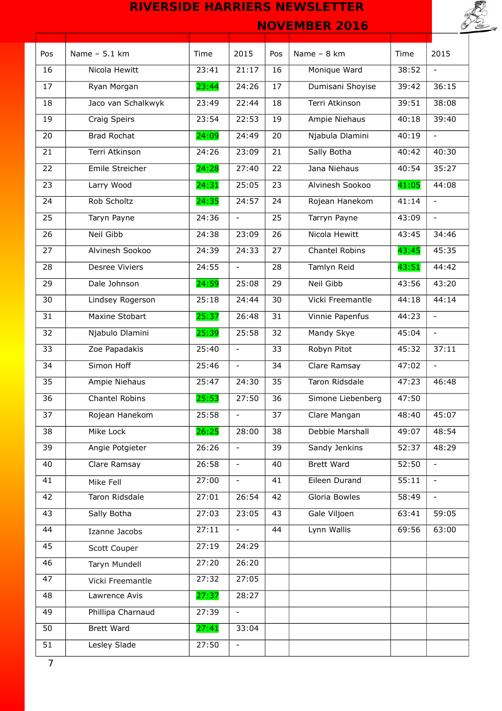

| Pos            | Name $-5.1$ km     | Time  | 2015                     | Pos | Name - 8 km       | Time  | 2015                     |
|----------------|--------------------|-------|--------------------------|-----|-------------------|-------|--------------------------|
| 16             | Nicola Hewitt      | 23:41 | 21:17                    | 16  | Monique Ward      | 38:52 | $\equiv$                 |
| 17             | Ryan Morgan        | 23:44 | 24:26                    | 17  | Dumisani Shoyise  | 39:42 | 36:15                    |
| 18             | Jaco van Schalkwyk | 23:49 | 22:44                    | 18  | Terri Atkinson    | 39:51 | 38:08                    |
| 19             | Craig Speirs       | 23:54 | 22:53                    | 19  | Ampie Niehaus     | 40:18 | 39:40                    |
| 20             | <b>Brad Rochat</b> | 24:09 | 24:49                    | 20  | Njabula Dlamini   | 40:19 | $\blacksquare$           |
| 21             | Terri Atkinson     | 24:26 | 23:09                    | 21  | Sally Botha       | 40:42 | 40:30                    |
| 22             | Emile Streicher    | 24:28 | 27:40                    | 22  | Jana Niehaus      | 40:54 | 35:27                    |
| 23             | Larry Wood         | 24:31 | 25:05                    | 23  | Alvinesh Sookoo   | 41:05 | 44:08                    |
| 24             | Rob Scholtz        | 24:35 | 24:57                    | 24  | Rojean Hanekom    | 41:14 | $\equiv$                 |
| 25             | Taryn Payne        | 24:36 | $\blacksquare$           | 25  | Tarryn Payne      | 43:09 | $\overline{\phantom{a}}$ |
| 26             | Neil Gibb          | 24:38 | 23:09                    | 26  | Nicola Hewitt     | 43:45 | 34:46                    |
| 27             | Alvinesh Sookoo    | 24:39 | 24:33                    | 27  | Chantel Robins    | 43:45 | 45:35                    |
| 28             | Desree Viviers     | 24:55 | $\omega$                 | 28  | Tamlyn Reid       | 43:51 | 44:42                    |
| 29             | Dale Johnson       | 24:59 | 25:08                    | 29  | Neil Gibb         | 43:56 | 43:20                    |
| 30             | Lindsey Rogerson   | 25:18 | 24:44                    | 30  | Vicki Freemantle  | 44:18 | 44:14                    |
| 31             | Maxine Stobart     | 25:37 | 26:48                    | 31  | Vinnie Papenfus   | 44:23 | $\overline{\phantom{a}}$ |
| 32             | Njabulo Dlamini    | 25:39 | 25:58                    | 32  | Mandy Skye        | 45:04 | $\overline{\phantom{a}}$ |
| 33             | Zoe Papadakis      | 25:40 | $\blacksquare$           | 33  | Robyn Pitot       | 45:32 | 37:11                    |
| 34             | Simon Hoff         | 25:46 | $\overline{\phantom{a}}$ | 34  | Clare Ramsay      | 47:02 | $\overline{\phantom{0}}$ |
| 35             | Ampie Niehaus      | 25:47 | 24:30                    | 35  | Taron Ridsdale    | 47:23 | 46:48                    |
| 36             | Chantel Robins     | 25:53 | 27:50                    | 36  | Simone Liebenberg | 47:50 |                          |
| 37             | Rojean Hanekom     | 25:58 |                          | 37  | Clare Mangan      | 48:40 | 45:07                    |
| 38             | Mike Lock          | 26:25 | 28:00                    | 38  | Debbie Marshall   | 49:07 | 48:54                    |
| 39             | Angie Potgieter    | 26:26 | $\overline{\phantom{a}}$ | 39  | Sandy Jenkins     | 52:37 | 48:29                    |
| 40             | Clare Ramsay       | 26:58 | $\overline{\phantom{a}}$ | 40  | Brett Ward        | 52:50 | $\overline{\phantom{a}}$ |
| 41             | Mike Fell          | 27:00 | $\overline{\phantom{a}}$ | 41  | Eileen Durand     | 55:11 |                          |
| 42             | Taron Ridsdale     | 27:01 | 26:54                    | 42  | Gloria Bowles     | 58:49 | $\overline{\phantom{a}}$ |
| 43             | Sally Botha        | 27:03 | 23:05                    | 43  | Gale Viljoen      | 63:41 | 59:05                    |
| 44             | Izanne Jacobs      | 27:11 | $\blacksquare$           | 44  | Lynn Wallis       | 69:56 | 63:00                    |
| 45             | Scott Couper       | 27:19 | 24:29                    |     |                   |       |                          |
| 46             | Taryn Mundell      | 27:20 | 26:20                    |     |                   |       |                          |
| 47             | Vicki Freemantle   | 27:32 | 27:05                    |     |                   |       |                          |
| 48             | Lawrence Avis      | 27:37 | 28:27                    |     |                   |       |                          |
| 49             | Phillipa Charnaud  | 27:39 | $\equiv$                 |     |                   |       |                          |
| 50             | <b>Brett Ward</b>  | 27:41 | 33:04                    |     |                   |       |                          |
| 51             | Lesley Slade       | 27:50 | $\blacksquare$           |     |                   |       |                          |
| $\overline{7}$ |                    |       |                          |     |                   |       |                          |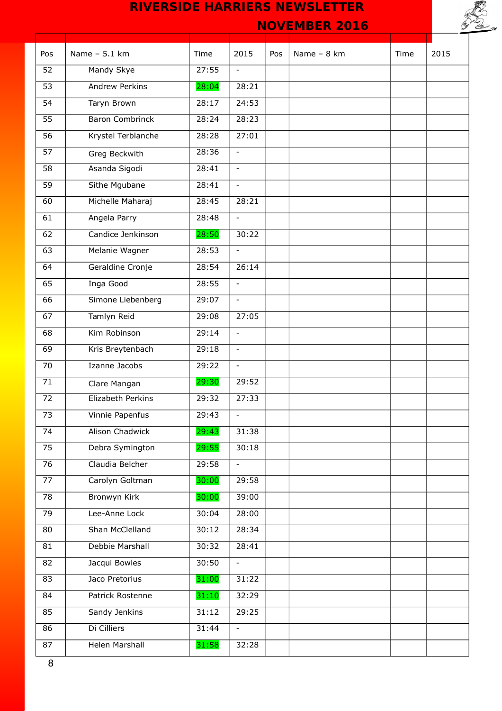



| Pos             | Name - 5.1 km          | Time  | 2015                     | Pos | Name - 8 km | Time | 2015 |
|-----------------|------------------------|-------|--------------------------|-----|-------------|------|------|
| 52              | Mandy Skye             | 27:55 | $\blacksquare$           |     |             |      |      |
| $\overline{53}$ | <b>Andrew Perkins</b>  | 28:04 | 28:21                    |     |             |      |      |
| 54              | Taryn Brown            | 28:17 | 24:53                    |     |             |      |      |
| 55              | <b>Baron Combrinck</b> | 28:24 | 28:23                    |     |             |      |      |
| 56              | Krystel Terblanche     | 28:28 | 27:01                    |     |             |      |      |
| $\overline{57}$ | Greg Beckwith          | 28:36 | $\overline{\phantom{a}}$ |     |             |      |      |
| $\overline{58}$ | Asanda Sigodi          | 28:41 | $\blacksquare$           |     |             |      |      |
| 59              | Sithe Mgubane          | 28:41 | $\blacksquare$           |     |             |      |      |
| 60              | Michelle Maharaj       | 28:45 | 28:21                    |     |             |      |      |
| 61              | Angela Parry           | 28:48 | $\equiv$                 |     |             |      |      |
| 62              | Candice Jenkinson      | 28:50 | 30:22                    |     |             |      |      |
| 63              | Melanie Wagner         | 28:53 | $\blacksquare$           |     |             |      |      |
| 64              | Geraldine Cronje       | 28:54 | 26:14                    |     |             |      |      |
| 65              | Inga Good              | 28:55 | $\overline{\phantom{a}}$ |     |             |      |      |
| 66              | Simone Liebenberg      | 29:07 | $\blacksquare$           |     |             |      |      |
| 67              | Tamlyn Reid            | 29:08 | 27:05                    |     |             |      |      |
| 68              | Kim Robinson           | 29:14 | $\overline{\phantom{a}}$ |     |             |      |      |
| 69              | Kris Breytenbach       | 29:18 | $\overline{\phantom{a}}$ |     |             |      |      |
| 70              | Izanne Jacobs          | 29:22 | $\blacksquare$           |     |             |      |      |
| 71              | Clare Mangan           | 29:30 | 29:52                    |     |             |      |      |
| 72              | Elizabeth Perkins      | 29:32 | 27:33                    |     |             |      |      |
| 73              | Vinnie Papenfus        | 29:43 |                          |     |             |      |      |
| 74              | Alison Chadwick        | 29:43 | 31:38                    |     |             |      |      |
| 75              | Debra Symington        | 29:55 | 30:18                    |     |             |      |      |
| 76              | Claudia Belcher        | 29:58 | $\overline{\phantom{a}}$ |     |             |      |      |
| 77              | Carolyn Goltman        | 30:00 | 29:58                    |     |             |      |      |
| 78              | <b>Bronwyn Kirk</b>    | 30:00 | 39:00                    |     |             |      |      |
| 79              | Lee-Anne Lock          | 30:04 | 28:00                    |     |             |      |      |
| 80              | Shan McClelland        | 30:12 | 28:34                    |     |             |      |      |
| 81              | Debbie Marshall        | 30:32 | 28:41                    |     |             |      |      |
| 82              | Jacqui Bowles          | 30:50 | $\equiv$                 |     |             |      |      |
| 83              | Jaco Pretorius         | 31:00 | 31:22                    |     |             |      |      |
| 84              | Patrick Rostenne       | 31:10 | 32:29                    |     |             |      |      |
| 85              | Sandy Jenkins          | 31:12 | 29:25                    |     |             |      |      |
| 86              | Di Cilliers            | 31:44 | $\equiv$                 |     |             |      |      |
| 87              | <b>Helen Marshall</b>  | 31:58 | 32:28                    |     |             |      |      |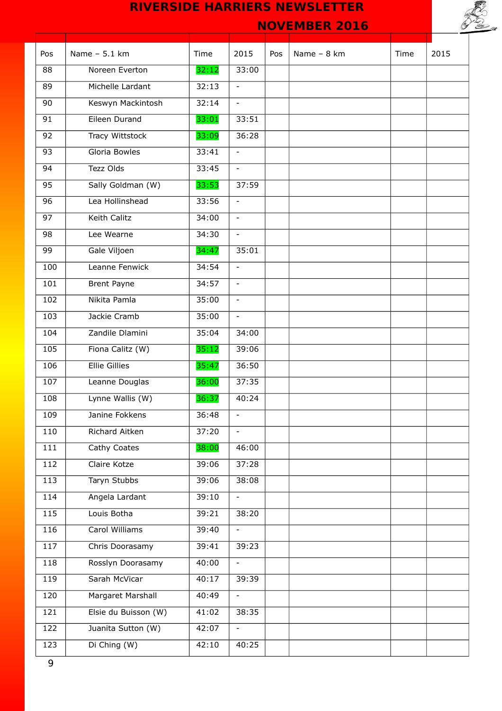

| Pos             | Name $-5.1$ km       | Time  | 2015                     | Pos | Name - 8 km | Time | 2015 |
|-----------------|----------------------|-------|--------------------------|-----|-------------|------|------|
| 88              | Noreen Everton       | 32:12 | 33:00                    |     |             |      |      |
| 89              | Michelle Lardant     | 32:13 | $\overline{\phantom{a}}$ |     |             |      |      |
| 90              | Keswyn Mackintosh    | 32:14 | $\overline{\phantom{a}}$ |     |             |      |      |
| 91              | Eileen Durand        | 33:01 | 33:51                    |     |             |      |      |
| 92              | Tracy Wittstock      | 33:09 | 36:28                    |     |             |      |      |
| $\overline{93}$ | Gloria Bowles        | 33:41 | $\overline{\phantom{a}}$ |     |             |      |      |
| 94              | Tezz Olds            | 33:45 | $\mathbb{L}^2$           |     |             |      |      |
| 95              | Sally Goldman (W)    | 33:53 | 37:59                    |     |             |      |      |
| 96              | Lea Hollinshead      | 33:56 | $\equiv$                 |     |             |      |      |
| 97              | Keith Calitz         | 34:00 | $\blacksquare$           |     |             |      |      |
| 98              | Lee Wearne           | 34:30 | $\equiv$                 |     |             |      |      |
| 99              | Gale Viljoen         | 34:47 | 35:01                    |     |             |      |      |
| 100             | Leanne Fenwick       | 34:54 | $\blacksquare$           |     |             |      |      |
| 101             | <b>Brent Payne</b>   | 34:57 | $\overline{\phantom{a}}$ |     |             |      |      |
| 102             | Nikita Pamla         | 35:00 | $\equiv$                 |     |             |      |      |
| 103             | Jackie Cramb         | 35:00 | $\blacksquare$           |     |             |      |      |
| 104             | Zandile Dlamini      | 35:04 | 34:00                    |     |             |      |      |
| 105             | Fiona Calitz (W)     | 35:12 | 39:06                    |     |             |      |      |
| 106             | <b>Ellie Gillies</b> | 35:47 | 36:50                    |     |             |      |      |
| 107             | Leanne Douglas       | 36:00 | 37:35                    |     |             |      |      |
| 108             | Lynne Wallis (W)     | 36:37 | 40:24                    |     |             |      |      |
| 109             | Janine Fokkens       | 36:48 | $\sim$                   |     |             |      |      |
| 110             | Richard Aitken       | 37:20 | $\blacksquare$           |     |             |      |      |
| 111             | Cathy Coates         | 38:00 | 46:00                    |     |             |      |      |
| 112             | Claire Kotze         | 39:06 | 37:28                    |     |             |      |      |
| 113             | <b>Taryn Stubbs</b>  | 39:06 | 38:08                    |     |             |      |      |
| 114             | Angela Lardant       | 39:10 | $\overline{\phantom{a}}$ |     |             |      |      |
| 115             | Louis Botha          | 39:21 | 38:20                    |     |             |      |      |
| 116             | Carol Williams       | 39:40 | $\overline{\phantom{a}}$ |     |             |      |      |
| 117             | Chris Doorasamy      | 39:41 | 39:23                    |     |             |      |      |
| 118             | Rosslyn Doorasamy    | 40:00 | $\overline{\phantom{a}}$ |     |             |      |      |
| 119             | Sarah McVicar        | 40:17 | 39:39                    |     |             |      |      |
| 120             | Margaret Marshall    | 40:49 | $\overline{\phantom{a}}$ |     |             |      |      |
| 121             | Elsie du Buisson (W) | 41:02 | 38:35                    |     |             |      |      |
| 122             | Juanita Sutton (W)   | 42:07 | $\overline{\phantom{a}}$ |     |             |      |      |
| 123             | Di Ching (W)         | 42:10 | 40:25                    |     |             |      |      |
|                 |                      |       |                          |     |             |      |      |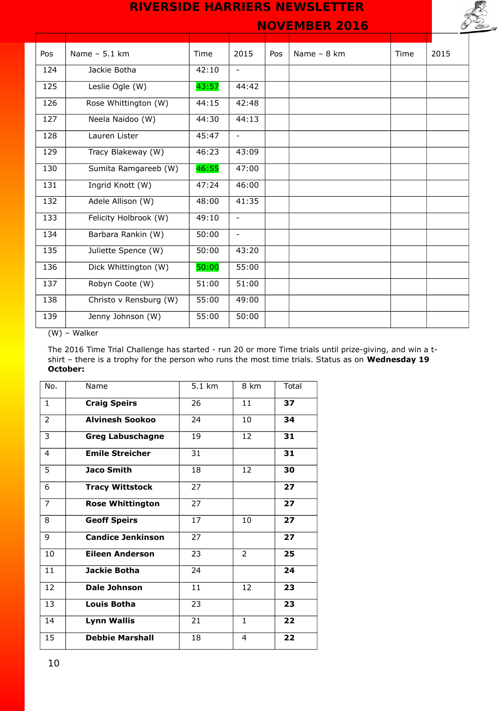

 **NOVEMBER 2016** 

| Pos | Name - 5.1 km          | Time  | 2015                     | Pos | Name $-8$ km | Time | 2015 |
|-----|------------------------|-------|--------------------------|-----|--------------|------|------|
| 124 | Jackie Botha           | 42:10 | $\overline{\phantom{0}}$ |     |              |      |      |
| 125 | Leslie Ogle (W)        | 43:57 | 44:42                    |     |              |      |      |
| 126 | Rose Whittington (W)   | 44:15 | 42:48                    |     |              |      |      |
| 127 | Neela Naidoo (W)       | 44:30 | 44:13                    |     |              |      |      |
| 128 | Lauren Lister          | 45:47 | $\overline{\phantom{0}}$ |     |              |      |      |
| 129 | Tracy Blakeway (W)     | 46:23 | 43:09                    |     |              |      |      |
| 130 | Sumita Ramgareeb (W)   | 46:55 | 47:00                    |     |              |      |      |
| 131 | Ingrid Knott (W)       | 47:24 | 46:00                    |     |              |      |      |
| 132 | Adele Allison (W)      | 48:00 | 41:35                    |     |              |      |      |
| 133 | Felicity Holbrook (W)  | 49:10 | $\overline{\phantom{0}}$ |     |              |      |      |
| 134 | Barbara Rankin (W)     | 50:00 | $\sim$                   |     |              |      |      |
| 135 | Juliette Spence (W)    | 50:00 | 43:20                    |     |              |      |      |
| 136 | Dick Whittington (W)   | 50:00 | 55:00                    |     |              |      |      |
| 137 | Robyn Coote (W)        | 51:00 | 51:00                    |     |              |      |      |
| 138 | Christo v Rensburg (W) | 55:00 | 49:00                    |     |              |      |      |
| 139 | Jenny Johnson (W)      | 55:00 | 50:00                    |     |              |      |      |

(W) – Walker

The 2016 Time Trial Challenge has started - run 20 or more Time trials until prize-giving, and win a tshirt – there is a trophy for the person who runs the most time trials. Status as on **Wednesday 19 October:**

| No.            | Name                     | $5.1 \text{ km}$ | 8 km           | Total |
|----------------|--------------------------|------------------|----------------|-------|
| $\mathbf{1}$   | <b>Craig Speirs</b>      | 26               | 11             | 37    |
| $\overline{2}$ | <b>Alvinesh Sookoo</b>   | 24               | 10             | 34    |
| 3              | <b>Greg Labuschagne</b>  | 19               | 12             | 31    |
| 4              | <b>Emile Streicher</b>   | 31               |                | 31    |
| 5              | <b>Jaco Smith</b>        | 18               | 12             | 30    |
| 6              | <b>Tracy Wittstock</b>   | 27               |                | 27    |
| 7              | <b>Rose Whittington</b>  | 27               |                | 27    |
| 8              | <b>Geoff Speirs</b>      | 17               | 10             | 27    |
| 9              | <b>Candice Jenkinson</b> | 27               |                | 27    |
| 10             | <b>Eileen Anderson</b>   | 23               | $\overline{2}$ | 25    |
| 11             | Jackie Botha             | 24               |                | 24    |
| 12             | Dale Johnson             | 11               | 12             | 23    |
| 13             | <b>Louis Botha</b>       | 23               |                | 23    |
| 14             | <b>Lynn Wallis</b>       | 21               | $\mathbf{1}$   | 22    |
| 15             | <b>Debbie Marshall</b>   | 18               | 4              | 22    |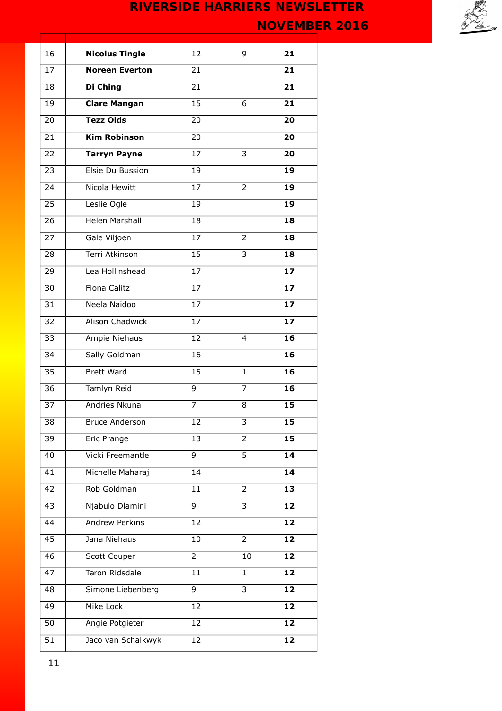

| 16              | <b>Nicolus Tingle</b>  | 12              | 9                       | 21              |
|-----------------|------------------------|-----------------|-------------------------|-----------------|
| 17              | <b>Noreen Everton</b>  | 21              |                         | 21              |
| 18              | Di Ching               | $\overline{21}$ |                         | 21              |
| 19              | <b>Clare Mangan</b>    | 15              | 6                       | 21              |
| 20              | <b>Tezz Olds</b>       | 20              |                         | 20              |
| 21              | <b>Kim Robinson</b>    | 20              |                         | 20              |
| 22              | <b>Tarryn Payne</b>    | 17              | 3                       | 20              |
| 23              | Elsie Du Bussion       | 19              |                         | 19              |
| 24              | Nicola Hewitt          | 17              | 2                       | 19              |
| 25              | Leslie Ogle            | 19              |                         | 19              |
| 26              | Helen Marshall         | 18              |                         | 18              |
| 27              | Gale Viljoen           | 17              | 2                       | 18              |
| 28              | Terri Atkinson         | 15              | 3                       | 18              |
| 29              | Lea Hollinshead        | 17              |                         | 17              |
| 30              | <b>Fiona Calitz</b>    | $\overline{17}$ |                         | 17              |
| $\overline{31}$ | Neela Naidoo           | 17              |                         | 17              |
| 32              | <b>Alison Chadwick</b> | 17              |                         | 17              |
| 33              | Ampie Niehaus          | 12              | 4                       | 16              |
| $\overline{3}4$ | Sally Goldman          | 16              |                         | 16              |
| 35              | <b>Brett Ward</b>      | 15              | $\mathbf{1}$            | 16              |
| 36              | Tamlyn Reid            | 9               | 7                       | 16              |
| 37              | Andries Nkuna          | $\overline{7}$  | 8                       | 15              |
| 38              | <b>Bruce Anderson</b>  | 12              | 3                       | 15              |
| 39              | Eric Prange            | 13              | 2                       | 15              |
| 40              | Vicki Freemantle       | $\overline{9}$  | $\overline{5}$          | 14              |
| 41              | Michelle Maharaj       | 14              |                         | 14              |
| 42              | Rob Goldman            | 11              | 2                       | 13              |
| 43              | Njabulo Dlamini        | 9               | 3                       | 12              |
| 44              | Andrew Perkins         | 12              |                         | 12              |
| 45              | Jana Niehaus           | 10              | $\overline{2}$          | 12              |
| 46              | Scott Couper           | $\overline{2}$  | 10                      | 12              |
| 47              | Taron Ridsdale         | 11              | $\mathbf{1}$            | 12              |
| 48              | Simone Liebenberg      | 9               | $\overline{\mathbf{3}}$ | 12              |
| 49              | Mike Lock              | 12              |                         | 12              |
| 50              | Angie Potgieter        | 12              |                         | 12              |
| 51              | Jaco van Schalkwyk     | 12              |                         | $\overline{1}2$ |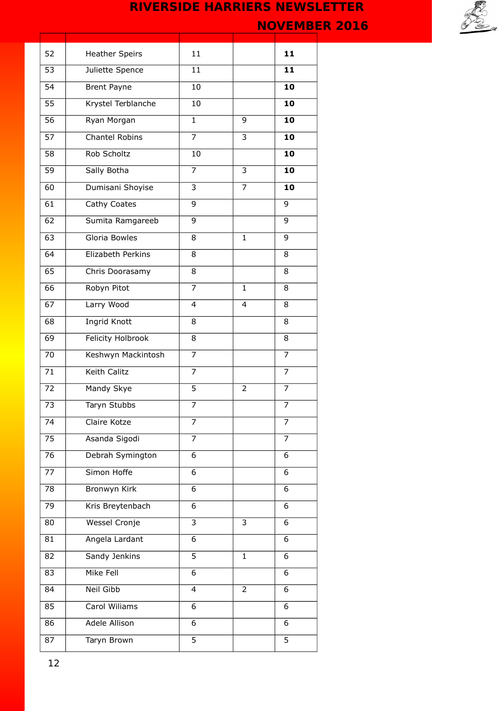

| 52              | <b>Heather Speirs</b>    | 11             |              | 11             |
|-----------------|--------------------------|----------------|--------------|----------------|
| 53              | Juliette Spence          | 11             |              | 11             |
| 54              | <b>Brent Payne</b>       | 10             |              | 10             |
| 55              | Krystel Terblanche       | 10             |              | 10             |
| 56              | Ryan Morgan              | $\mathbf{1}$   | 9            | 10             |
| 57              | Chantel Robins           | $\overline{7}$ | 3            | 10             |
| 58              | Rob Scholtz              | 10             |              | 10             |
| 59              | Sally Botha              | $\overline{7}$ | 3            | 10             |
| 60              | Dumisani Shoyise         | 3              | 7            | 10             |
| 61              | Cathy Coates             | 9              |              | 9              |
| 62              | Sumita Ramgareeb         | 9              |              | 9              |
| 63              | Gloria Bowles            | 8              | $\mathbf{1}$ | 9              |
| 64              | Elizabeth Perkins        | 8              |              | 8              |
| 65              | Chris Doorasamy          | 8              |              | 8              |
| $\overline{66}$ | Robyn Pitot              | $\overline{7}$ | $\mathbf{1}$ | 8              |
| 67              | Larry Wood               | $\overline{4}$ | 4            | 8              |
| 68              | <b>Ingrid Knott</b>      | 8              |              | 8              |
| 69              | <b>Felicity Holbrook</b> | 8              |              | 8              |
| 70              | Keshwyn Mackintosh       | $\overline{7}$ |              | 7              |
| 71              | Keith Calitz             | $\overline{7}$ |              | 7              |
| 72              | Mandy Skye               | $\overline{5}$ | 2            | 7              |
| 73              | Taryn Stubbs             | $\overline{7}$ |              | 7              |
| 74              | Claire Kotze             | $\overline{7}$ |              | 7              |
| 75              | Asanda Sigodi            | 7              |              | 7              |
| 76              | Debrah Symington         | 6              |              | 6              |
| 77              | Simon Hoffe              | 6              |              | 6              |
| 78              | Bronwyn Kirk             | 6              |              | 6              |
| 79              | Kris Breytenbach         | 6              |              | 6              |
| 80              | Wessel Cronje            | 3              | 3            | 6              |
| 81              | Angela Lardant           | 6              |              | 6              |
| 82              | Sandy Jenkins            | $\overline{5}$ | $\mathbf{1}$ | 6              |
| 83              | Mike Fell                | 6              |              | 6              |
| 84              | <b>Neil Gibb</b>         | $\overline{4}$ | 2            | 6              |
| 85              | Carol Wiliams            | 6              |              | 6              |
| 86              | <b>Adele Allison</b>     | 6              |              | 6              |
| 87              | Taryn Brown              | $\overline{5}$ |              | $\overline{5}$ |
|                 |                          |                |              |                |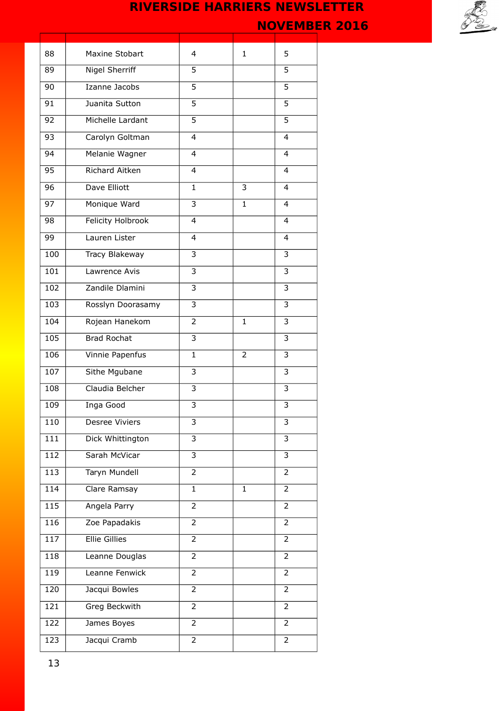

| 88  | Maxine Stobart       | 4              | $\mathbf{1}$ | 5              |
|-----|----------------------|----------------|--------------|----------------|
| 89  | Nigel Sherriff       | 5              |              | 5              |
| 90  | Izanne Jacobs        | 5              |              | 5              |
| 91  | Juanita Sutton       | 5              |              | 5              |
| 92  | Michelle Lardant     | $\overline{5}$ |              | 5              |
| 93  | Carolyn Goltman      | $\overline{4}$ |              | 4              |
| 94  | Melanie Wagner       | $\overline{4}$ |              | 4              |
| 95  | Richard Aitken       | 4              |              | 4              |
| 96  | Dave Elliott         | $\mathbf{1}$   | 3            | 4              |
| 97  | Monique Ward         | 3              | $\mathbf{1}$ | 4              |
| 98  | Felicity Holbrook    | $\overline{4}$ |              | 4              |
| 99  | Lauren Lister        | 4              |              | 4              |
| 100 | Tracy Blakeway       | 3              |              | 3              |
| 101 | Lawrence Avis        | 3              |              | 3              |
| 102 | Zandile Dlamini      | $\overline{3}$ |              | 3              |
| 103 | Rosslyn Doorasamy    | $\overline{3}$ |              | 3              |
| 104 | Rojean Hanekom       | $\overline{2}$ | $\mathbf{1}$ | 3              |
| 105 | <b>Brad Rochat</b>   | $\overline{3}$ |              | 3              |
| 106 | Vinnie Papenfus      | $\mathbf{1}$   | 2            | 3              |
| 107 | Sithe Mgubane        | 3              |              | 3              |
| 108 | Claudia Belcher      | 3              |              | 3              |
| 109 | Inga Good            | 3              |              | 3              |
| 110 | Desree Viviers       | 3              |              | 3              |
| 111 | Dick Whittington     | $\overline{3}$ |              | 3              |
| 112 | Sarah McVicar        | 3              |              | 3              |
| 113 | Taryn Mundell        | $\overline{2}$ |              | 2              |
| 114 | Clare Ramsay         | $\mathbf{1}$   | 1            | 2              |
| 115 | Angela Parry         | $\overline{2}$ |              | $\overline{2}$ |
| 116 | Zoe Papadakis        | 2              |              | 2              |
| 117 | <b>Ellie Gillies</b> | $\overline{2}$ |              | 2              |
| 118 | Leanne Douglas       | $\overline{2}$ |              | 2              |
| 119 | Leanne Fenwick       | $\overline{2}$ |              | $\overline{2}$ |
| 120 | Jacqui Bowles        | $\overline{2}$ |              | 2              |
| 121 | Greg Beckwith        | $\overline{2}$ |              | 2              |
| 122 | James Boyes          | $\overline{2}$ |              | 2              |
| 123 | Jacqui Cramb         | $\overline{2}$ |              | $\overline{2}$ |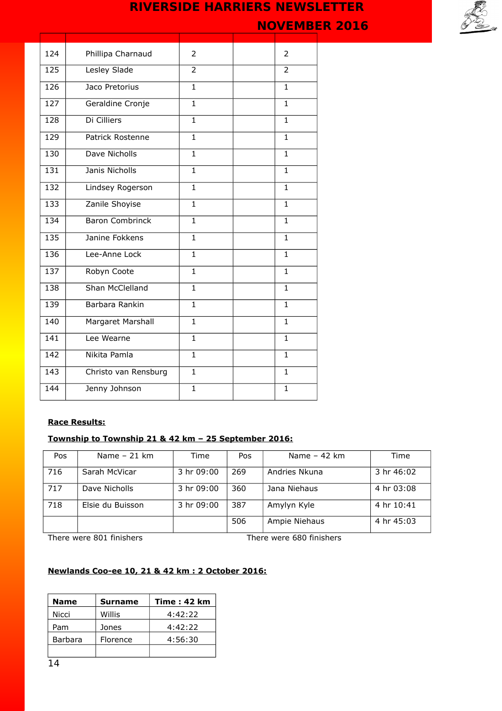**NOVEMBER 2016** 

| 124 | Phillipa Charnaud      | $\overline{2}$ | 2            |
|-----|------------------------|----------------|--------------|
| 125 | Lesley Slade           | $\overline{2}$ | 2            |
| 126 | Jaco Pretorius         | $\mathbf{1}$   | $\mathbf{1}$ |
| 127 | Geraldine Cronje       | $\mathbf{1}$   | $\mathbf{1}$ |
| 128 | Di Cilliers            | $\mathbf{1}$   | $\mathbf{1}$ |
| 129 | Patrick Rostenne       | $\mathbf{1}$   | 1            |
| 130 | Dave Nicholls          | $\mathbf{1}$   | $\mathbf{1}$ |
| 131 | Janis Nicholls         | $\mathbf{1}$   | $\mathbf{1}$ |
| 132 | Lindsey Rogerson       | $\mathbf{1}$   | $\mathbf{1}$ |
| 133 | Zanile Shoyise         | $\mathbf{1}$   | $\mathbf{1}$ |
| 134 | <b>Baron Combrinck</b> | $\mathbf{1}$   | $\mathbf{1}$ |
| 135 | Janine Fokkens         | $\mathbf{1}$   | $\mathbf{1}$ |
| 136 | Lee-Anne Lock          | $\mathbf{1}$   | $\mathbf{1}$ |
| 137 | Robyn Coote            | $\mathbf{1}$   | 1            |
| 138 | Shan McClelland        | $\overline{1}$ | $\mathbf{1}$ |
| 139 | Barbara Rankin         | $\mathbf{1}$   | $\mathbf{1}$ |
| 140 | Margaret Marshall      | $\mathbf{1}$   | $\mathbf{1}$ |
| 141 | Lee Wearne             | $\mathbf{1}$   | 1            |
| 142 | Nikita Pamla           | $\mathbf{1}$   | $\mathbf{1}$ |
| 143 | Christo van Rensburg   | $\mathbf{1}$   | $\mathbf{1}$ |
| 144 | Jenny Johnson          | $\mathbf{1}$   | $\mathbf{1}$ |

### **Race Results:**

## **Township to Township 21 & 42 km – 25 September 2016:**

| Pos | Name $-21$ km    | Time       | Pos | Name $-42$ km | Time       |
|-----|------------------|------------|-----|---------------|------------|
| 716 | Sarah McVicar    | 3 hr 09:00 | 269 | Andries Nkuna | 3 hr 46:02 |
| 717 | Dave Nicholls    | 3 hr 09:00 | 360 | Jana Niehaus  | 4 hr 03:08 |
| 718 | Elsie du Buisson | 3 hr 09:00 | 387 | Amylyn Kyle   | 4 hr 10:41 |
|     |                  |            | 506 | Ampie Niehaus | 4 hr 45:03 |

There were 801 finishers There were 680 finishers

## **Newlands Coo-ee 10, 21 & 42 km : 2 October 2016:**

| <b>Name</b>    | <b>Surname</b> | <b>Time: 42 km</b> |
|----------------|----------------|--------------------|
| Nicci          | Willis         | 4:42:22            |
| Pam            | Jones          | 4:42:22            |
| <b>Barbara</b> | Florence       | 4:56:30            |
|                |                |                    |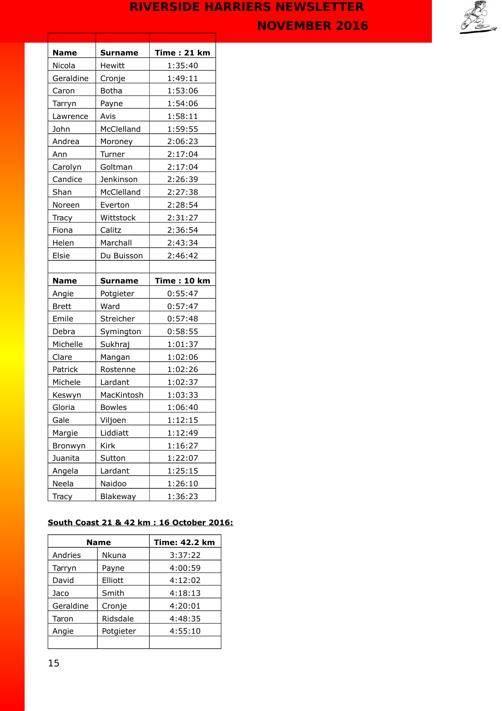

| <b>Name</b>  | <b>Surname</b> | <b>Time: 21 km</b> |
|--------------|----------------|--------------------|
| Nicola       | Hewitt         | 1:35:40            |
| Geraldine    | Cronje         | 1:49:11            |
| Caron        | <b>Botha</b>   | 1:53:06            |
| Tarryn       | Payne          | 1:54:06            |
| Lawrence     | Avis           | 1:58:11            |
| John         | McClelland     | 1:59:55            |
| Andrea       | Moroney        | 2:06:23            |
| Ann          | Turner         | 2:17:04            |
| Carolyn      | Goltman        | 2:17:04            |
| Candice      | Jenkinson      | 2:26:39            |
| Shan         | McClelland     | 2:27:38            |
| Noreen       | Everton        | 2:28:54            |
| Tracy        | Wittstock      | 2:31:27            |
| Fiona        | Calitz         | 2:36:54            |
| Helen        | Marchall       | 2:43:34            |
| Elsie        | Du Buisson     | 2:46:42            |
|              |                |                    |
|              |                |                    |
| <b>Name</b>  | <b>Surname</b> | <b>Time: 10 km</b> |
| Angie        | Potgieter      | 0:55:47            |
| <b>Brett</b> | Ward           | 0:57:47            |
| Emile        | Streicher      | 0:57:48            |
| Debra        | Symington      | 0:58:55            |
| Michelle     | Sukhraj        | 1:01:37            |
| Clare        | Mangan         | 1:02:06            |
| Patrick      | Rostenne       | 1:02:26            |
| Michele      | Lardant        | 1:02:37            |
| Keswyn       | MacKintosh     | 1:03:33            |
| Gloria       | <b>Bowles</b>  | 1:06:40            |
| Gale         | Viljoen        | <u> 1:12:15</u>    |
| Margie       | Liddiatt       | 1:12:49            |
| Bronwyn      | Kirk           | 1:16:27            |
| Juanita      | Sutton         | 1:22:07            |
| Angela       | Lardant        | 1:25:15            |
| Neela        | Naidoo         | 1:26:10            |

## **South Coast 21 & 42 km : 16 October 2016:**

|           | <b>Name</b>  | <b>Time: 42.2 km</b> |
|-----------|--------------|----------------------|
| Andries   | <b>Nkuna</b> | 3:37:22              |
| Tarryn    | Payne        | 4:00:59              |
| David     | Elliott      | 4:12:02              |
| Jaco      | Smith        | 4:18:13              |
| Geraldine | Cronje       | 4:20:01              |
| Taron     | Ridsdale     | 4:48:35              |
| Angie     | Potgieter    | 4:55:10              |
|           |              |                      |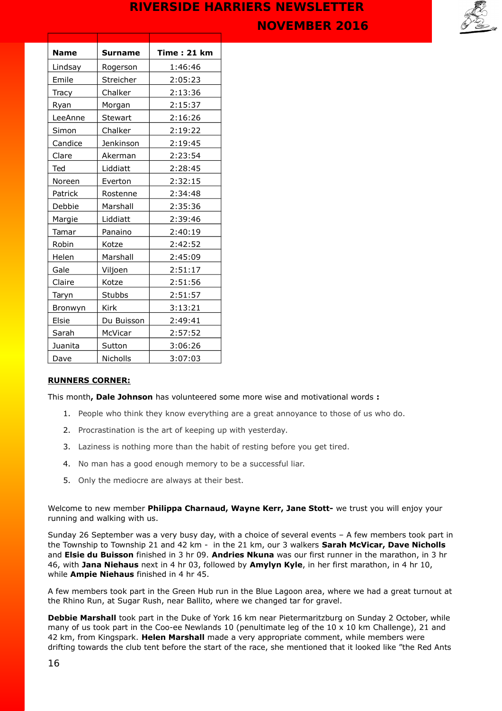

| <b>Name</b> | <b>Surname</b> | <b>Time: 21 km</b> |
|-------------|----------------|--------------------|
| Lindsay     | Rogerson       | 1:46:46            |
| Emile       | Streicher      | 2:05:23            |
| Tracy       | Chalker        | 2:13:36            |
| Ryan        | Morgan         | 2:15:37            |
| LeeAnne     | Stewart        | 2:16:26            |
| Simon       | Chalker        | 2:19:22            |
| Candice     | Jenkinson      | 2:19:45            |
| Clare       | Akerman        | 2:23:54            |
| Ted         | Liddiatt       | 2:28:45            |
| Noreen      | Everton        | 2:32:15            |
| Patrick     | Rostenne       | 2:34:48            |
| Debbie      | Marshall       | 2:35:36            |
| Margie      | Liddiatt       | 2:39:46            |
| Tamar       | Panaino        | 2:40:19            |
| Robin       | Kotze          | 2:42:52            |
| Helen       | Marshall       | 2:45:09            |
| Gale        | Viljoen        | 2:51:17            |
| Claire      | Kotze          | 2:51:56            |
| Taryn       | Stubbs         | 2:51:57            |
| Bronwyn     | <b>Kirk</b>    | 3:13:21            |
| Elsie       | Du Buisson     | 2:49:41            |
| Sarah       | McVicar        | 2:57:52            |
| Juanita     | Sutton         | 3:06:26            |
| Dave        | Nicholls       | 3:07:03            |

### **RUNNERS CORNER:**

This month**, Dale Johnson** has volunteered some more wise and motivational words **:** 

- 1. People who think they know everything are a great annoyance to those of us who do.
- 2. Procrastination is the art of keeping up with yesterday.
- 3. Laziness is nothing more than the habit of resting before you get tired.
- 4. No man has a good enough memory to be a successful liar.
- 5. Only the mediocre are always at their best.

Welcome to new member **Philippa Charnaud, Wayne Kerr, Jane Stott-** we trust you will enjoy your running and walking with us.

Sunday 26 September was a very busy day, with a choice of several events – A few members took part in the Township to Township 21 and 42 km - in the 21 km, our 3 walkers **Sarah McVicar, Dave Nicholls** and **Elsie du Buisson** finished in 3 hr 09. **Andries Nkuna** was our first runner in the marathon, in 3 hr 46, with **Jana Niehaus** next in 4 hr 03, followed by **Amylyn Kyle**, in her first marathon, in 4 hr 10, while **Ampie Niehaus** finished in 4 hr 45.

A few members took part in the Green Hub run in the Blue Lagoon area, where we had a great turnout at the Rhino Run, at Sugar Rush, near Ballito, where we changed tar for gravel.

**Debbie Marshall** took part in the Duke of York 16 km near Pietermaritzburg on Sunday 2 October, while many of us took part in the Coo-ee Newlands 10 (penultimate leg of the 10 x 10 km Challenge), 21 and 42 km, from Kingspark. **Helen Marshall** made a very appropriate comment, while members were drifting towards the club tent before the start of the race, she mentioned that it looked like "the Red Ants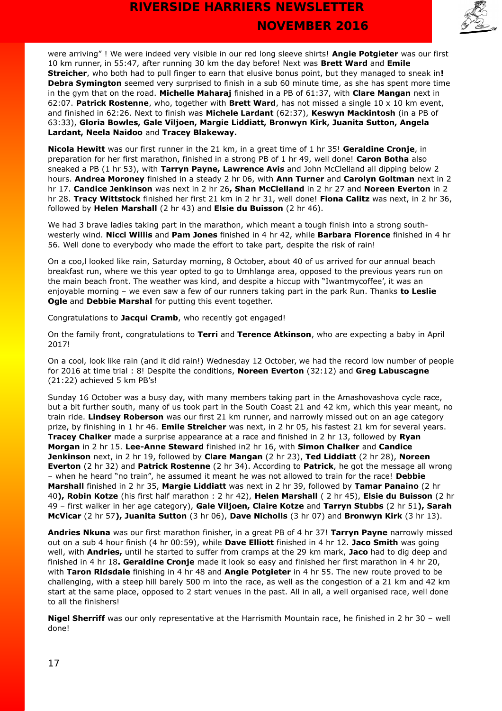

were arriving" ! We were indeed very visible in our red long sleeve shirts! **Angie Potgieter** was our first 10 km runner, in 55:47, after running 30 km the day before! Next was **Brett Ward** and **Emile Streicher**, who both had to pull finger to earn that elusive bonus point, but they managed to sneak in**! Debra Symington** seemed very surprised to finish in a sub 60 minute time, as she has spent more time in the gym that on the road. **Michelle Maharaj** finished in a PB of 61:37, with **Clare Mangan** next in 62:07. **Patrick Rostenne**, who, together with **Brett Ward**, has not missed a single 10 x 10 km event, and finished in 62:26. Next to finish was **Michele Lardant** (62:37), **Keswyn Mackintosh** (in a PB of 63:33), **Gloria Bowles, Gale Viljoen, Margie Liddiatt, Bronwyn Kirk, Juanita Sutton, Angela Lardant, Neela Naidoo** and **Tracey Blakeway.**

**Nicola Hewitt** was our first runner in the 21 km, in a great time of 1 hr 35! **Geraldine Cronje**, in preparation for her first marathon, finished in a strong PB of 1 hr 49, well done! **Caron Botha** also sneaked a PB (1 hr 53), with **Tarryn Payne, Lawrence Avis** and John McClelland all dipping below 2 hours. **Andrea Moroney** finished in a steady 2 hr 06, with **Ann Turner** and **Carolyn Goltman** next in 2 hr 17. **Candice Jenkinson** was next in 2 hr 26**, Shan McClelland** in 2 hr 27 and **Noreen Everton** in 2 hr 28. **Tracy Wittstock** finished her first 21 km in 2 hr 31, well done! **Fiona Calitz** was next, in 2 hr 36, followed by **Helen Marshall** (2 hr 43) and **Elsie du Buisson** (2 hr 46).

We had 3 brave ladies taking part in the marathon, which meant a tough finish into a strong southwesterly wind. **Nicci Willis** and **Pam Jones** finished in 4 hr 42, while **Barbara Florence** finished in 4 hr 56. Well done to everybody who made the effort to take part, despite the risk of rain!

On a coo,I looked like rain, Saturday morning, 8 October, about 40 of us arrived for our annual beach breakfast run, where we this year opted to go to Umhlanga area, opposed to the previous years run on the main beach front. The weather was kind, and despite a hiccup with "Iwantmycoffee', it was an enjoyable morning – we even saw a few of our runners taking part in the park Run. Thanks **to Leslie Ogle** and **Debbie Marshal** for putting this event together.

Congratulations to **Jacqui Cramb**, who recently got engaged!

On the family front, congratulations to **Terri** and **Terence Atkinson**, who are expecting a baby in April 2017!

On a cool, look like rain (and it did rain!) Wednesday 12 October, we had the record low number of people for 2016 at time trial : 8! Despite the conditions, **Noreen Everton** (32:12) and **Greg Labuscagne** (21:22) achieved 5 km PB's!

Sunday 16 October was a busy day, with many members taking part in the Amashovashova cycle race, but a bit further south, many of us took part in the South Coast 21 and 42 km, which this year meant, no train ride. **Lindsey Roberson** was our first 21 km runner, and narrowly missed out on an age category prize, by finishing in 1 hr 46. **Emile Streicher** was next, in 2 hr 05, his fastest 21 km for several years. **Tracey Chalker** made a surprise appearance at a race and finished in 2 hr 13, followed by **Ryan Morgan** in 2 hr 15. **Lee-Anne Steward** finished in2 hr 16, with **Simon Chalker** and **Candice Jenkinson** next, in 2 hr 19, followed by **Clare Mangan** (2 hr 23), **Ted Liddiatt** (2 hr 28), **Noreen Everton** (2 hr 32) and **Patrick Rostenne** (2 hr 34). According to **Patrick**, he got the message all wrong – when he heard "no train", he assumed it meant he was not allowed to train for the race! **Debbie Marshall** finished in 2 hr 35, **Margie Liddiatt** was next in 2 hr 39, followed by **Tamar Panaino** (2 hr 40**), Robin Kotze** (his first half marathon : 2 hr 42), **Helen Marshall** ( 2 hr 45), **Elsie du Buisson** (2 hr 49 – first walker in her age category), **Gale Viljoen, Claire Kotze** and **Tarryn Stubbs** (2 hr 51**), Sarah McVicar** (2 hr 57**), Juanita Sutton** (3 hr 06), **Dave Nicholls** (3 hr 07) and **Bronwyn Kirk** (3 hr 13).

**Andries Nkuna** was our first marathon finisher, in a great PB of 4 hr 37! **Tarryn Payne** narrowly missed out on a sub 4 hour finish (4 hr 00:59), while **Dave Elliott** finished in 4 hr 12. **Jaco Smith** was going well, with **Andries,** until he started to suffer from cramps at the 29 km mark, **Jaco** had to dig deep and finished in 4 hr 18**. Geraldine Cronje** made it look so easy and finished her first marathon in 4 hr 20, with **Taron Ridsdale** finishing in 4 hr 48 and **Angie Potgieter** in 4 hr 55. The new route proved to be challenging, with a steep hill barely 500 m into the race, as well as the congestion of a 21 km and 42 km start at the same place, opposed to 2 start venues in the past. All in all, a well organised race, well done to all the finishers!

**Nigel Sherriff** was our only representative at the Harrismith Mountain race, he finished in 2 hr 30 – well done!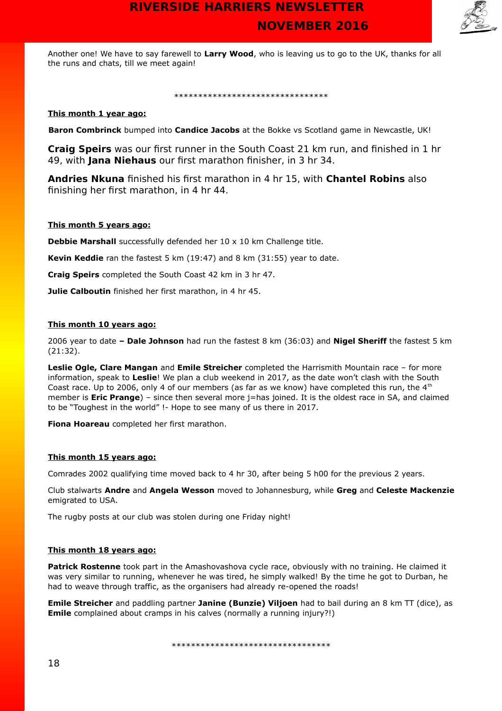

Another one! We have to say farewell to **Larry Wood**, who is leaving us to go to the UK, thanks for all the runs and chats, till we meet again!

### \*\*\*\*\*\*\*\*\*\*\*\*\*\*\*\*\*\*\*\*\*\*\*\*\*\*\*\*\*\*\*\*

### **This month 1 year ago:**

 **Baron Combrinck** bumped into **Candice Jacobs** at the Bokke vs Scotland game in Newcastle, UK!

**Craig Speirs** was our first runner in the South Coast 21 km run, and finished in 1 hr 49, with **Jana Niehaus** our first marathon finisher, in 3 hr 34.

**Andries Nkuna** finished his first marathon in 4 hr 15, with **Chantel Robins** also finishing her first marathon, in 4 hr 44.

### **This month 5 years ago:**

**Debbie Marshall** successfully defended her 10 x 10 km Challenge title.

**Kevin Keddie** ran the fastest 5 km (19:47) and 8 km (31:55) year to date.

**Craig Speirs** completed the South Coast 42 km in 3 hr 47.

**Julie Calboutin** finished her first marathon, in 4 hr 45.

### **This month 10 years ago:**

2006 year to date **– Dale Johnson** had run the fastest 8 km (36:03) and **Nigel Sheriff** the fastest 5 km (21:32).

**Leslie Ogle, Clare Mangan** and **Emile Streicher** completed the Harrismith Mountain race – for more information, speak to **Leslie**! We plan a club weekend in 2017, as the date won't clash with the South Coast race. Up to 2006, only 4 of our members (as far as we know) have completed this run, the 4<sup>th</sup> member is **Eric Prange**) – since then several more j=has joined. It is the oldest race in SA, and claimed to be "Toughest in the world" !- Hope to see many of us there in 2017.

**Fiona Hoareau** completed her first marathon.

### **This month 15 years ago:**

Comrades 2002 qualifying time moved back to 4 hr 30, after being 5 h00 for the previous 2 years.

Club stalwarts **Andre** and **Angela Wesson** moved to Johannesburg, while **Greg** and **Celeste Mackenzie** emigrated to USA.

The rugby posts at our club was stolen during one Friday night!

### **This month 18 years ago:**

**Patrick Rostenne** took part in the Amashovashova cycle race, obviously with no training. He claimed it was very similar to running, whenever he was tired, he simply walked! By the time he got to Durban, he had to weave through traffic, as the organisers had already re-opened the roads!

**Emile Streicher** and paddling partner **Janine (Bunzie) Viljoen** had to bail during an 8 km TT (dice), as **Emile** complained about cramps in his calves (normally a running injury?!)

\*\*\*\*\*\*\*\*\*\*\*\*\*\*\*\*\*\*\*\*\*\*\*\*\*\*\*\*\*\*\*\*\*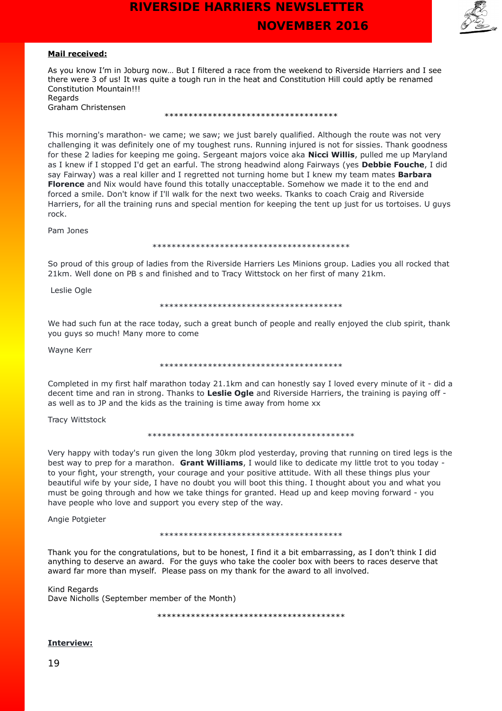

### **Mail received:**

As you know I'm in Joburg now… But I filtered a race from the weekend to Riverside Harriers and I see there were 3 of us! It was quite a tough run in the heat and Constitution Hill could aptly be renamed Constitution Mountain!!! **Regards** 

| negaras |                    |
|---------|--------------------|
|         | Graham Christensen |

### \*\*\*\*\*\*\*\*\*\*\*\*\*\*\*\*\*\*\*\*\*\*\*\*\*\*\*\*\*\*\*\*\*\*\*\*

This morning's marathon- we came; we saw; we just barely qualified. Although the route was not very challenging it was definitely one of my toughest runs. Running injured is not for sissies. Thank goodness for these 2 ladies for keeping me going. Sergeant majors voice aka **Nicci Willis**, pulled me up Maryland as I knew if I stopped I'd get an earful. The strong headwind along Fairways (yes **Debbie Fouche**, I did say Fairway) was a real killer and I regretted not turning home but I knew my team mates **Barbara Florence** and Nix would have found this totally unacceptable. Somehow we made it to the end and forced a smile. Don't know if I'll walk for the next two weeks. Tkanks to coach Craig and Riverside Harriers, for all the training runs and special mention for keeping the tent up just for us tortoises. U guys rock.

Pam Jones

### \*\*\*\*\*\*\*\*\*\*\*\*\*\*\*\*\*\*\*\*\*\*\*\*\*\*\*\*\*\*\*\*\*\*\*\*\*\*\*\*\*

So proud of this group of ladies from the Riverside Harriers Les Minions group. Ladies you all rocked that 21km. Well done on PB s and finished and to Tracy Wittstock on her first of many 21km.

Leslie Ogle

#### \*\*\*\*\*\*\*\*\*\*\*\*\*\*\*\*\*\*\*\*\*\*\*\*\*\*\*\*\*\*\*\*\*\*\*\*\*\*

We had such fun at the race today, such a great bunch of people and really enjoyed the club spirit, thank you guys so much! Many more to come

Wayne Kerr

#### \*\*\*\*\*\*\*\*\*\*\*\*\*\*\*\*\*\*\*\*\*\*\*\*\*\*\*\*\*\*\*\*\*\*\*\*\*\*

Completed in my first half marathon today 21.1km and can honestly say I loved every minute of it - did a decent time and ran in strong. Thanks to **Leslie Ogle** and Riverside Harriers, the training is paying off as well as to JP and the kids as the training is time away from home xx

Tracy Wittstock

\*\*\*\*\*\*\*\*\*\*\*\*\*\*\*\*\*\*\*\*\*\*\*\*\*\*\*\*\*\*\*\*\*\*\*\*\*\*\*\*\*\*\*

Very happy with today's run given the long 30km plod yesterday, proving that running on tired legs is the best way to prep for a marathon. **Grant Williams**, I would like to dedicate my little trot to you today to your fight, your strength, your courage and your positive attitude. With all these things plus your beautiful wife by your side, I have no doubt you will boot this thing. I thought about you and what you must be going through and how we take things for granted. Head up and keep moving forward - you have people who love and support you every step of the way.

Angie Potgieter

#### \*\*\*\*\*\*\*\*\*\*\*\*\*\*\*\*\*\*\*\*\*\*\*\*\*\*\*\*\*\*\*\*\*\*\*\*\*\*

Thank you for the congratulations, but to be honest, I find it a bit embarrassing, as I don't think I did anything to deserve an award. For the guys who take the cooler box with beers to races deserve that award far more than myself. Please pass on my thank for the award to all involved.

Kind Regards Dave Nicholls (September member of the Month)

\*\*\*\*\*\*\*\*\*\*\*\*\*\*\*\*\*\*\*\*\*\*\*\*\*\*\*\*\*\*\*\*\*\*\*\*\*\*\*

### **Interview:**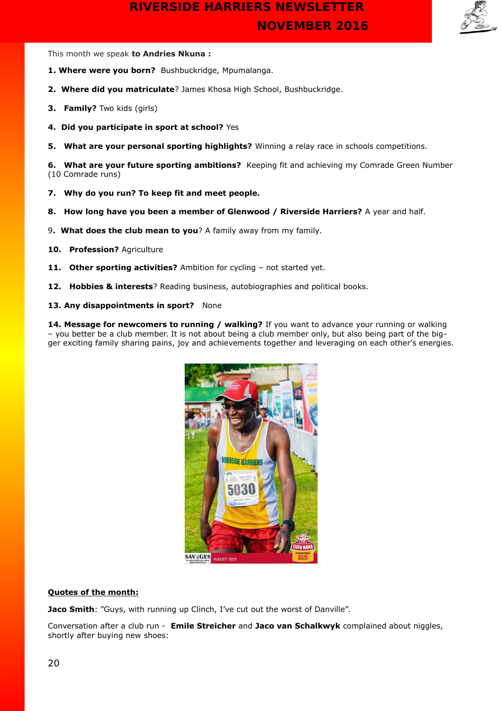

This month we speak **to Andries Nkuna :**

- **1. Where were you born?** Bushbuckridge, Mpumalanga.
- **2. Where did you matriculate**? James Khosa High School, Bushbuckridge.
- **3. Family?** Two kids (girls)
- **4. Did you participate in sport at school?** Yes
- **5. What are your personal sporting highlights?** Winning a relay race in schools competitions.

**6. What are your future sporting ambitions?** Keeping fit and achieving my Comrade Green Number (10 Comrade runs)

- **7. Why do you run? To keep fit and meet people.**
- **8. How long have you been a member of Glenwood / Riverside Harriers?** A year and half.
- 9**. What does the club mean to you**? A family away from my family.
- **10. Profession?** Agriculture
- **11. Other sporting activities?** Ambition for cycling not started yet.
- **12. Hobbies & interests**? Reading business, autobiographies and political books.
- 13. Any disappointments in sport? None

**14. Message for newcomers to running / walking?** If you want to advance your running or walking – you better be a club member. It is not about being a club member only, but also being part of the bigger exciting family sharing pains, joy and achievements together and leveraging on each other's energies.



### **Quotes of the month:**

**Jaco Smith**: "Guys, with running up Clinch, I've cut out the worst of Danville".

Conversation after a club run - **Emile Streicher** and **Jaco van Schalkwyk** complained about niggles, shortly after buying new shoes: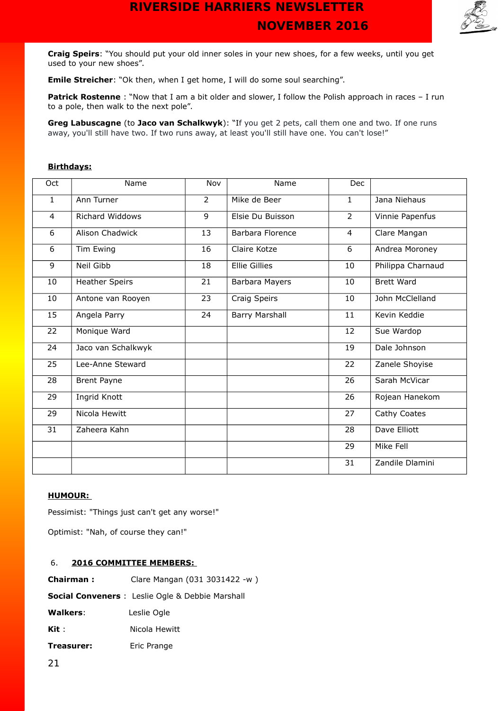

**Craig Speirs**: "You should put your old inner soles in your new shoes, for a few weeks, until you get used to your new shoes".

**Emile Streicher**: "Ok then, when I get home, I will do some soul searching".

**Patrick Rostenne** : "Now that I am a bit older and slower, I follow the Polish approach in races - I run to a pole, then walk to the next pole".

**Greg Labuscagne** (to **Jaco van Schalkwyk**): "If you get 2 pets, call them one and two. If one runs away, you'll still have two. If two runs away, at least you'll still have one. You can't lose!"

### **Birthdays:**

| Oct          | Name                   | Nov            | Name                 | <b>Dec</b>     |                   |
|--------------|------------------------|----------------|----------------------|----------------|-------------------|
| $\mathbf{1}$ | Ann Turner             | $\overline{2}$ | Mike de Beer         | $\mathbf{1}$   | Jana Niehaus      |
| 4            | <b>Richard Widdows</b> | $\overline{9}$ | Elsie Du Buisson     | $\overline{2}$ | Vinnie Papenfus   |
| 6            | Alison Chadwick        | 13             | Barbara Florence     | 4              | Clare Mangan      |
| 6            | Tim Ewing              | 16             | Claire Kotze         | 6              | Andrea Moroney    |
| 9            | Neil Gibb              | 18             | <b>Ellie Gillies</b> | 10             | Philippa Charnaud |
| 10           | <b>Heather Speirs</b>  | 21             | Barbara Mayers       | 10             | <b>Brett Ward</b> |
| 10           | Antone van Rooyen      | 23             | Craig Speirs         | 10             | John McClelland   |
| 15           | Angela Parry           | 24             | Barry Marshall       | 11             | Kevin Keddie      |
| 22           | Monique Ward           |                |                      | 12             | Sue Wardop        |
| 24           | Jaco van Schalkwyk     |                |                      | 19             | Dale Johnson      |
| 25           | Lee-Anne Steward       |                |                      | 22             | Zanele Shoyise    |
| 28           | <b>Brent Payne</b>     |                |                      | 26             | Sarah McVicar     |
| 29           | Ingrid Knott           |                |                      | 26             | Rojean Hanekom    |
| 29           | Nicola Hewitt          |                |                      | 27             | Cathy Coates      |
| 31           | Zaheera Kahn           |                |                      | 28             | Dave Elliott      |
|              |                        |                |                      | 29             | Mike Fell         |
|              |                        |                |                      | 31             | Zandile Dlamini   |

### **HUMOUR:**

Pessimist: "Things just can't get any worse!"

Optimist: "Nah, of course they can!"

### 6. **2016 COMMITTEE MEMBERS:**

| <b>Chairman:</b> | Clare Mangan (031 3031422 -w)                           |
|------------------|---------------------------------------------------------|
|                  | <b>Social Conveners</b> : Leslie Ogle & Debbie Marshall |
| Walkers:         | Leslie Ogle                                             |
| Kit :            | Nicola Hewitt                                           |
| Treasurer:       | Eric Prange                                             |
|                  |                                                         |

21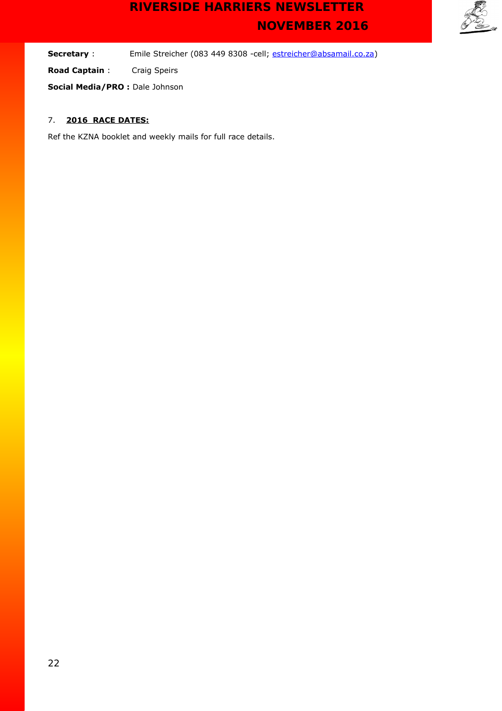

**Secretary** : Emile Streicher (083 449 8308 -cell; [estreicher@absamail.co.za\)](mailto:estreicher@absamail.co.za)

**Road Captain** : Craig Speirs

**Social Media/PRO :** Dale Johnson

## 7. **2016 RACE DATES:**

Ref the KZNA booklet and weekly mails for full race details.